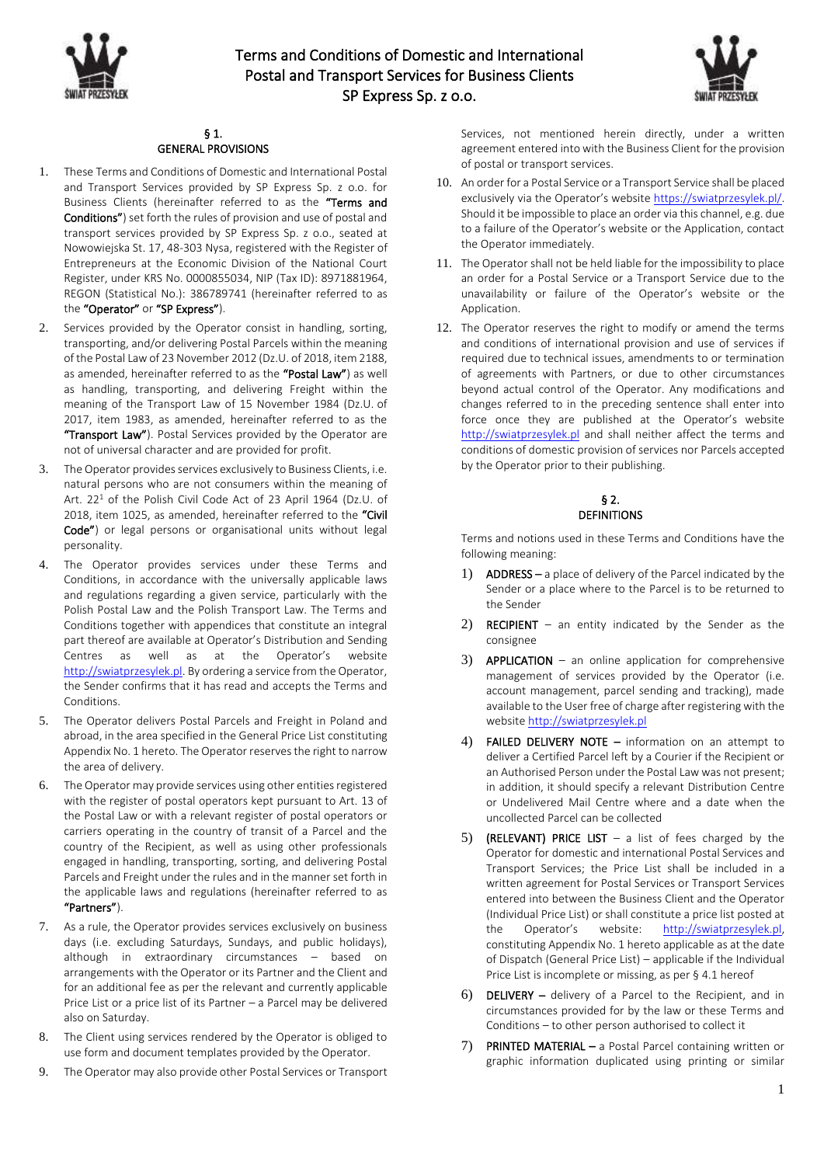



### § 1. GENERAL PROVISIONS

- 1. These Terms and Conditions of Domestic and International Postal and Transport Services provided by SP Express Sp. z o.o. for Business Clients (hereinafter referred to as the "Terms and Conditions") set forth the rules of provision and use of postal and transport services provided by SP Express Sp. z o.o., seated at Nowowiejska St. 17, 48-303 Nysa, registered with the Register of Entrepreneurs at the Economic Division of the National Court Register, under KRS No. 0000855034, NIP (Tax ID): 8971881964, REGON (Statistical No.): 386789741 (hereinafter referred to as the "Operator" or "SP Express").
- 2. Services provided by the Operator consist in handling, sorting, transporting, and/or delivering Postal Parcels within the meaning of the Postal Law of 23 November 2012 (Dz.U. of 2018, item 2188, as amended, hereinafter referred to as the "Postal Law") as well as handling, transporting, and delivering Freight within the meaning of the Transport Law of 15 November 1984 (Dz.U. of 2017, item 1983, as amended, hereinafter referred to as the "Transport Law"). Postal Services provided by the Operator are not of universal character and are provided for profit.
- 3. The Operator provides services exclusively to Business Clients, i.e. natural persons who are not consumers within the meaning of Art. 22<sup>1</sup> of the Polish Civil Code Act of 23 April 1964 (Dz.U. of 2018, item 1025, as amended, hereinafter referred to the "Civil Code") or legal persons or organisational units without legal personality.
- 4. The Operator provides services under these Terms and Conditions, in accordance with the universally applicable laws and regulations regarding a given service, particularly with the Polish Postal Law and the Polish Transport Law. The Terms and Conditions together with appendices that constitute an integral part thereof are available at Operator's Distribution and Sending Centres as well as at the Operator's website [http://swiatprzesylek.pl.](http://swiatprzesylek.pl/) By ordering a service from the Operator, the Sender confirms that it has read and accepts the Terms and Conditions.
- 5. The Operator delivers Postal Parcels and Freight in Poland and abroad, in the area specified in the General Price List constituting Appendix No. 1 hereto. The Operator reserves the right to narrow the area of delivery.
- 6. The Operator may provide services using other entities registered with the register of postal operators kept pursuant to Art. 13 of the Postal Law or with a relevant register of postal operators or carriers operating in the country of transit of a Parcel and the country of the Recipient, as well as using other professionals engaged in handling, transporting, sorting, and delivering Postal Parcels and Freight under the rules and in the manner set forth in the applicable laws and regulations (hereinafter referred to as "Partners").
- 7. As a rule, the Operator provides services exclusively on business days (i.e. excluding Saturdays, Sundays, and public holidays), although in extraordinary circumstances – based on arrangements with the Operator or its Partner and the Client and for an additional fee as per the relevant and currently applicable Price List or a price list of its Partner – a Parcel may be delivered also on Saturday.
- 8. The Client using services rendered by the Operator is obliged to use form and document templates provided by the Operator.
- 9. The Operator may also provide other Postal Services or Transport

Services, not mentioned herein directly, under a written agreement entered into with the Business Client for the provision of postal or transport services.

- 10. An order for a Postal Service or a Transport Service shall be placed exclusively via the Operator's website [https://swiatprzesylek.pl/.](https://swiatprzesylek.pl/) Should it be impossible to place an order via this channel, e.g. due to a failure of the Operator's website or the Application, contact the Operator immediately.
- 11. The Operator shall not be held liable for the impossibility to place an order for a Postal Service or a Transport Service due to the unavailability or failure of the Operator's website or the Application.
- 12. The Operator reserves the right to modify or amend the terms and conditions of international provision and use of services if required due to technical issues, amendments to or termination of agreements with Partners, or due to other circumstances beyond actual control of the Operator. Any modifications and changes referred to in the preceding sentence shall enter into force once they are published at the Operator's website [http://swiatprzesylek.pl](http://swiatprzesylek.pl/) and shall neither affect the terms and conditions of domestic provision of services nor Parcels accepted by the Operator prior to their publishing.

# § 2. **DEFINITIONS**

Terms and notions used in these Terms and Conditions have the following meaning:

- 1) ADDRESS a place of delivery of the Parcel indicated by the Sender or a place where to the Parcel is to be returned to the Sender
- 2) RECIPIENT an entity indicated by the Sender as the consignee
- 3) APPLICATION an online application for comprehensive management of services provided by the Operator (i.e. account management, parcel sending and tracking), made available to the User free of charge after registering with the websit[e http://swiatprzesylek.pl](http://swiatprzesylek.pl/)
- 4) FAILED DELIVERY NOTE information on an attempt to deliver a Certified Parcel left by a Courier if the Recipient or an Authorised Person under the Postal Law was not present; in addition, it should specify a relevant Distribution Centre or Undelivered Mail Centre where and a date when the uncollected Parcel can be collected
- 5) (RELEVANT) PRICE LIST a list of fees charged by the Operator for domestic and international Postal Services and Transport Services; the Price List shall be included in a written agreement for Postal Services or Transport Services entered into between the Business Client and the Operator (Individual Price List) or shall constitute a price list posted at the Operator's website: [http://swiatprzesylek.pl,](http://swiatprzesylek.pl/) constituting Appendix No. 1 hereto applicable as at the date of Dispatch (General Price List) – applicable if the Individual Price List is incomplete or missing, as per § 4.1 hereof
- 6) DELIVERY delivery of a Parcel to the Recipient, and in circumstances provided for by the law or these Terms and Conditions – to other person authorised to collect it
- 7) PRINTED MATERIAL a Postal Parcel containing written or graphic information duplicated using printing or similar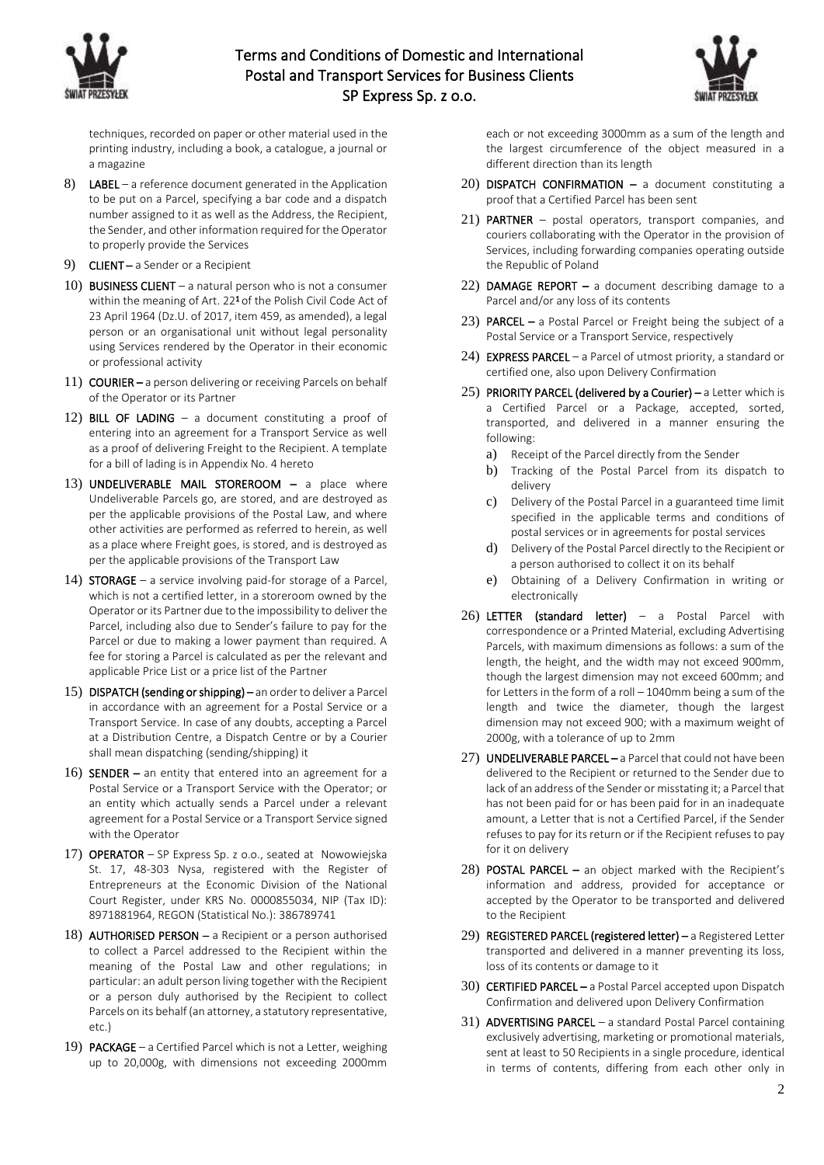



techniques, recorded on paper or other material used in the printing industry, including a book, a catalogue, a journal or a magazine

- 8) LABEL a reference document generated in the Application to be put on a Parcel, specifying a bar code and a dispatch number assigned to it as well as the Address, the Recipient, the Sender, and other information required for the Operator to properly provide the Services
- 9) CLIENT a Sender or a Recipient
- 10) BUSINESS CLIENT a natural person who is not a consumer within the meaning of Art. 22<sup>1</sup> of the Polish Civil Code Act of 23 April 1964 (Dz.U. of 2017, item 459, as amended), a legal person or an organisational unit without legal personality using Services rendered by the Operator in their economic or professional activity
- 11) COURIER a person delivering or receiving Parcels on behalf of the Operator or its Partner
- 12) BILL OF LADING a document constituting a proof of entering into an agreement for a Transport Service as well as a proof of delivering Freight to the Recipient. A template for a bill of lading is in Appendix No. 4 hereto
- 13) UNDELIVERABLE MAIL STOREROOM a place where Undeliverable Parcels go, are stored, and are destroyed as per the applicable provisions of the Postal Law, and where other activities are performed as referred to herein, as well as a place where Freight goes, is stored, and is destroyed as per the applicable provisions of the Transport Law
- 14) STORAGE a service involving paid-for storage of a Parcel, which is not a certified letter, in a storeroom owned by the Operator or its Partner due to the impossibility to deliver the Parcel, including also due to Sender's failure to pay for the Parcel or due to making a lower payment than required. A fee for storing a Parcel is calculated as per the relevant and applicable Price List or a price list of the Partner
- 15) DISPATCH (sending or shipping) an order to deliver a Parcel in accordance with an agreement for a Postal Service or a Transport Service. In case of any doubts, accepting a Parcel at a Distribution Centre, a Dispatch Centre or by a Courier shall mean dispatching (sending/shipping) it
- 16) SENDER an entity that entered into an agreement for a Postal Service or a Transport Service with the Operator; or an entity which actually sends a Parcel under a relevant agreement for a Postal Service or a Transport Service signed with the Operator
- 17) OPERATOR SP Express Sp. z o.o., seated at Nowowiejska St. 17, 48-303 Nysa, registered with the Register of Entrepreneurs at the Economic Division of the National Court Register, under KRS No. 0000855034, NIP (Tax ID): 8971881964, REGON (Statistical No.): 386789741
- 18) **AUTHORISED PERSON** a Recipient or a person authorised to collect a Parcel addressed to the Recipient within the meaning of the Postal Law and other regulations; in particular: an adult person living together with the Recipient or a person duly authorised by the Recipient to collect Parcels on its behalf (an attorney, a statutory representative, etc.)
- 19) PACKAGE a Certified Parcel which is not a Letter, weighing up to 20,000g, with dimensions not exceeding 2000mm

each or not exceeding 3000mm as a sum of the length and the largest circumference of the object measured in a different direction than its length

- 20) DISPATCH CONFIRMATION a document constituting a proof that a Certified Parcel has been sent
- 21) PARTNER postal operators, transport companies, and couriers collaborating with the Operator in the provision of Services, including forwarding companies operating outside the Republic of Poland
- 22) DAMAGE REPORT  $-$  a document describing damage to a Parcel and/or any loss of its contents
- 23) PARCEL a Postal Parcel or Freight being the subject of a Postal Service or a Transport Service, respectively
- 24) EXPRESS PARCEL a Parcel of utmost priority, a standard or certified one, also upon Delivery Confirmation
- 25) PRIORITY PARCEL (delivered by a Courier) a Letter which is a Certified Parcel or a Package, accepted, sorted, transported, and delivered in a manner ensuring the following:
	- a) Receipt of the Parcel directly from the Sender
	- b) Tracking of the Postal Parcel from its dispatch to delivery
	- c) Delivery of the Postal Parcel in a guaranteed time limit specified in the applicable terms and conditions of postal services or in agreements for postal services
	- d) Delivery of the Postal Parcel directly to the Recipient or a person authorised to collect it on its behalf
	- e) Obtaining of a Delivery Confirmation in writing or electronically
- 26) LETTER (standard letter)  $-$  a Postal Parcel with correspondence or a Printed Material, excluding Advertising Parcels, with maximum dimensions as follows: a sum of the length, the height, and the width may not exceed 900mm, though the largest dimension may not exceed 600mm; and for Letters in the form of a roll – 1040mm being a sum of the length and twice the diameter, though the largest dimension may not exceed 900; with a maximum weight of 2000g, with a tolerance of up to 2mm
- 27) UNDELIVERABLE PARCEL a Parcel that could not have been delivered to the Recipient or returned to the Sender due to lack of an address of the Sender or misstating it; a Parcel that has not been paid for or has been paid for in an inadequate amount, a Letter that is not a Certified Parcel, if the Sender refuses to pay for its return or if the Recipient refuses to pay for it on delivery
- 28) POSTAL PARCEL an object marked with the Recipient's information and address, provided for acceptance or accepted by the Operator to be transported and delivered to the Recipient
- 29) REGISTERED PARCEL (registered letter) a Registered Letter transported and delivered in a manner preventing its loss, loss of its contents or damage to it
- 30) CERTIFIED PARCEL a Postal Parcel accepted upon Dispatch Confirmation and delivered upon Delivery Confirmation
- 31) ADVERTISING PARCEL a standard Postal Parcel containing exclusively advertising, marketing or promotional materials, sent at least to 50 Recipients in a single procedure, identical in terms of contents, differing from each other only in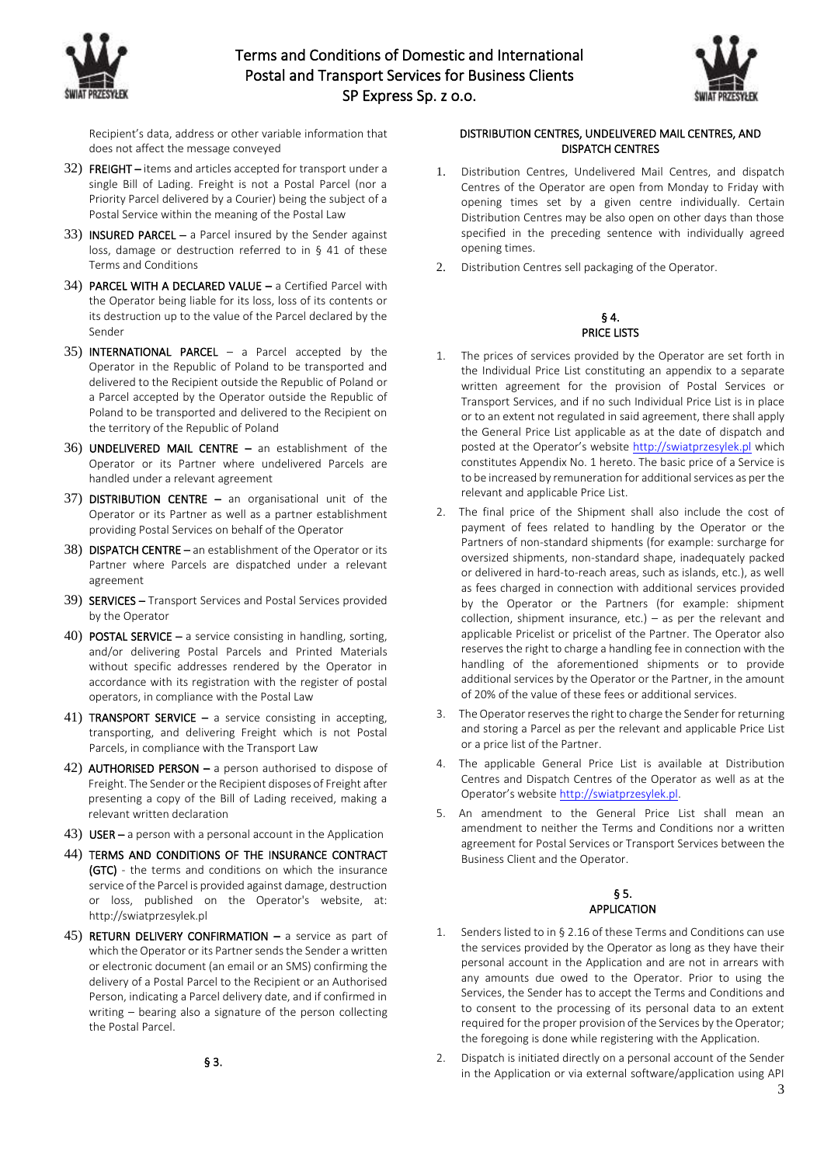



Recipient's data, address or other variable information that does not affect the message conveyed

- 32) FREIGHT items and articles accepted for transport under a single Bill of Lading. Freight is not a Postal Parcel (nor a Priority Parcel delivered by a Courier) being the subject of a Postal Service within the meaning of the Postal Law
- 33) INSURED PARCEL a Parcel insured by the Sender against loss, damage or destruction referred to in § 41 of these Terms and Conditions
- 34) PARCEL WITH A DECLARED VALUE a Certified Parcel with the Operator being liable for its loss, loss of its contents or its destruction up to the value of the Parcel declared by the Sender
- 35) **INTERNATIONAL PARCEL**  $-$  a Parcel accepted by the Operator in the Republic of Poland to be transported and delivered to the Recipient outside the Republic of Poland or a Parcel accepted by the Operator outside the Republic of Poland to be transported and delivered to the Recipient on the territory of the Republic of Poland
- 36) UNDELIVERED MAIL CENTRE an establishment of the Operator or its Partner where undelivered Parcels are handled under a relevant agreement
- 37) DISTRIBUTION CENTRE an organisational unit of the Operator or its Partner as well as a partner establishment providing Postal Services on behalf of the Operator
- 38) DISPATCH CENTRE an establishment of the Operator or its Partner where Parcels are dispatched under a relevant agreement
- 39) SERVICES Transport Services and Postal Services provided by the Operator
- 40) POSTAL SERVICE a service consisting in handling, sorting, and/or delivering Postal Parcels and Printed Materials without specific addresses rendered by the Operator in accordance with its registration with the register of postal operators, in compliance with the Postal Law
- 41) TRANSPORT SERVICE a service consisting in accepting, transporting, and delivering Freight which is not Postal Parcels, in compliance with the Transport Law
- 42) **AUTHORISED PERSON a person authorised to dispose of** Freight. The Sender or the Recipient disposes of Freight after presenting a copy of the Bill of Lading received, making a relevant written declaration
- 43) USER a person with a personal account in the Application
- 44) TERMS AND CONDITIONS OF THE INSURANCE CONTRACT (GTC) - the terms and conditions on which the insurance service of the Parcel is provided against damage, destruction or loss, published on the Operator's website, at: http://swiatprzesylek.pl
- 45) RETURN DELIVERY CONFIRMATION a service as part of which the Operator or its Partner sends the Sender a written or electronic document (an email or an SMS) confirming the delivery of a Postal Parcel to the Recipient or an Authorised Person, indicating a Parcel delivery date, and if confirmed in writing – bearing also a signature of the person collecting the Postal Parcel.

# § 3.

## DISTRIBUTION CENTRES, UNDELIVERED MAIL CENTRES, AND DISPATCH CENTRES

- 1. Distribution Centres, Undelivered Mail Centres, and dispatch Centres of the Operator are open from Monday to Friday with opening times set by a given centre individually. Certain Distribution Centres may be also open on other days than those specified in the preceding sentence with individually agreed opening times.
- 2. Distribution Centres sell packaging of the Operator.

### § 4. PRICE LISTS

- 1. The prices of services provided by the Operator are set forth in the Individual Price List constituting an appendix to a separate written agreement for the provision of Postal Services or Transport Services, and if no such Individual Price List is in place or to an extent not regulated in said agreement, there shall apply the General Price List applicable as at the date of dispatch and posted at the Operator's website [http://swiatprzesylek.pl](http://swiatprzesylek.pl/) which constitutes Appendix No. 1 hereto. The basic price of a Service is to be increased by remuneration for additional services as per the relevant and applicable Price List.
- 2. The final price of the Shipment shall also include the cost of payment of fees related to handling by the Operator or the Partners of non-standard shipments (for example: surcharge for oversized shipments, non-standard shape, inadequately packed or delivered in hard-to-reach areas, such as islands, etc.), as well as fees charged in connection with additional services provided by the Operator or the Partners (for example: shipment collection, shipment insurance, etc.) – as per the relevant and applicable Pricelist or pricelist of the Partner. The Operator also reserves the right to charge a handling fee in connection with the handling of the aforementioned shipments or to provide additional services by the Operator or the Partner, in the amount of 20% of the value of these fees or additional services.
- 3. The Operator reserves the right to charge the Sender for returning and storing a Parcel as per the relevant and applicable Price List or a price list of the Partner.
- 4. The applicable General Price List is available at Distribution Centres and Dispatch Centres of the Operator as well as at the Operator's website [http://swiatprzesylek.pl.](https://swiatprzesylek.pl/)
- 5. An amendment to the General Price List shall mean an amendment to neither the Terms and Conditions nor a written agreement for Postal Services or Transport Services between the Business Client and the Operator.

# § 5. APPLICATION

- 1. Senders listed to in § 2.16 of these Terms and Conditions can use the services provided by the Operator as long as they have their personal account in the Application and are not in arrears with any amounts due owed to the Operator. Prior to using the Services, the Sender has to accept the Terms and Conditions and to consent to the processing of its personal data to an extent required for the proper provision of the Services by the Operator; the foregoing is done while registering with the Application.
- 2. Dispatch is initiated directly on a personal account of the Sender in the Application or via external software/application using API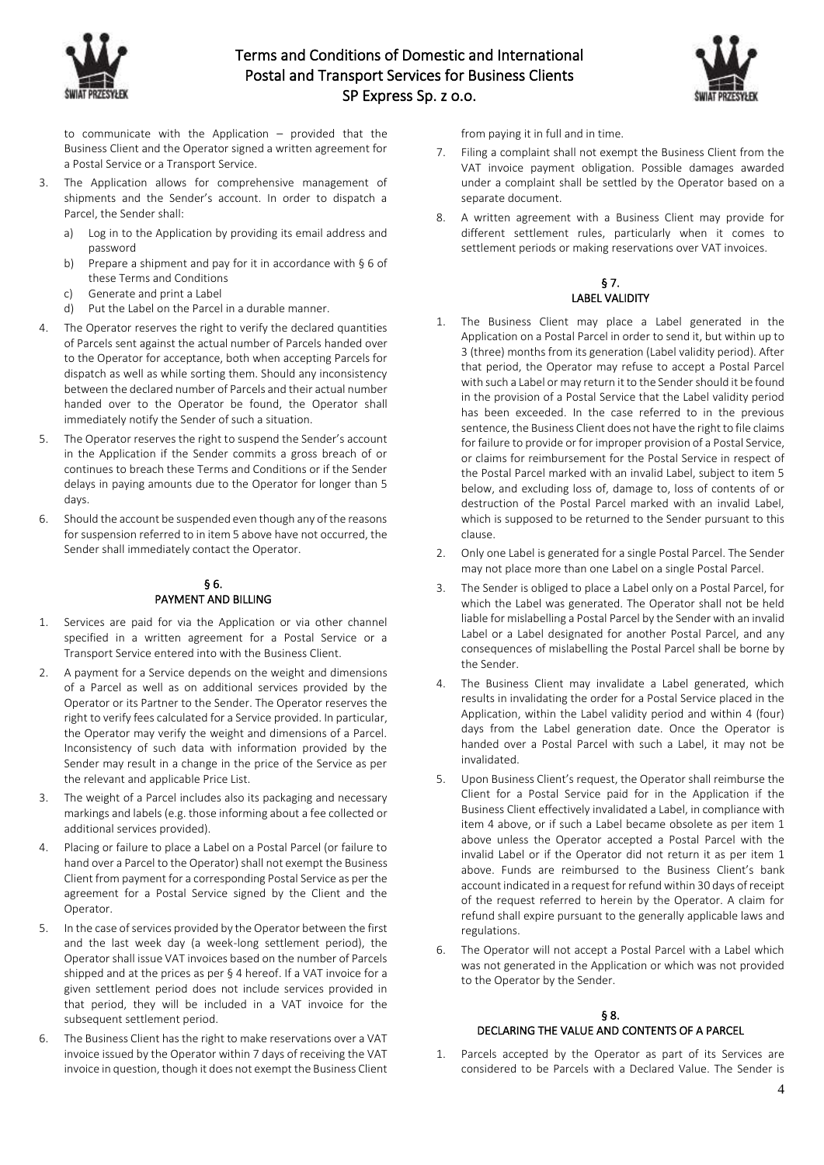



to communicate with the Application – provided that the Business Client and the Operator signed a written agreement for a Postal Service or a Transport Service.

- 3. The Application allows for comprehensive management of shipments and the Sender's account. In order to dispatch a Parcel, the Sender shall:
	- a) Log in to the Application by providing its email address and password
	- b) Prepare a shipment and pay for it in accordance with § 6 of these Terms and Conditions
	- c) Generate and print a Label
	- d) Put the Label on the Parcel in a durable manner.
- 4. The Operator reserves the right to verify the declared quantities of Parcels sent against the actual number of Parcels handed over to the Operator for acceptance, both when accepting Parcels for dispatch as well as while sorting them. Should any inconsistency between the declared number of Parcels and their actual number handed over to the Operator be found, the Operator shall immediately notify the Sender of such a situation.
- 5. The Operator reserves the right to suspend the Sender's account in the Application if the Sender commits a gross breach of or continues to breach these Terms and Conditions or if the Sender delays in paying amounts due to the Operator for longer than 5 days.
- 6. Should the account be suspended even though any of the reasons for suspension referred to in item 5 above have not occurred, the Sender shall immediately contact the Operator.

## § 6. PAYMENT AND BILLING

- 1. Services are paid for via the Application or via other channel specified in a written agreement for a Postal Service or a Transport Service entered into with the Business Client.
- 2. A payment for a Service depends on the weight and dimensions of a Parcel as well as on additional services provided by the Operator or its Partner to the Sender. The Operator reserves the right to verify fees calculated for a Service provided. In particular, the Operator may verify the weight and dimensions of a Parcel. Inconsistency of such data with information provided by the Sender may result in a change in the price of the Service as per the relevant and applicable Price List.
- 3. The weight of a Parcel includes also its packaging and necessary markings and labels (e.g. those informing about a fee collected or additional services provided).
- 4. Placing or failure to place a Label on a Postal Parcel (or failure to hand over a Parcel to the Operator) shall not exempt the Business Client from payment for a corresponding Postal Service as per the agreement for a Postal Service signed by the Client and the Operator.
- 5. In the case of services provided by the Operator between the first and the last week day (a week-long settlement period), the Operator shall issue VAT invoices based on the number of Parcels shipped and at the prices as per § 4 hereof. If a VAT invoice for a given settlement period does not include services provided in that period, they will be included in a VAT invoice for the subsequent settlement period.
- 6. The Business Client has the right to make reservations over a VAT invoice issued by the Operator within 7 days of receiving the VAT invoice in question, though it does not exempt the Business Client

from paying it in full and in time.

- 7. Filing a complaint shall not exempt the Business Client from the VAT invoice payment obligation. Possible damages awarded under a complaint shall be settled by the Operator based on a separate document.
- 8. A written agreement with a Business Client may provide for different settlement rules, particularly when it comes to settlement periods or making reservations over VAT invoices.

# § 7. LABEL VALIDITY

- 1. The Business Client may place a Label generated in the Application on a Postal Parcel in order to send it, but within up to 3 (three) months from its generation (Label validity period). After that period, the Operator may refuse to accept a Postal Parcel with such a Label or may return it to the Sender should it be found in the provision of a Postal Service that the Label validity period has been exceeded. In the case referred to in the previous sentence, the Business Client does not have the right to file claims for failure to provide or for improper provision of a Postal Service, or claims for reimbursement for the Postal Service in respect of the Postal Parcel marked with an invalid Label, subject to item 5 below, and excluding loss of, damage to, loss of contents of or destruction of the Postal Parcel marked with an invalid Label, which is supposed to be returned to the Sender pursuant to this clause.
- 2. Only one Label is generated for a single Postal Parcel. The Sender may not place more than one Label on a single Postal Parcel.
- 3. The Sender is obliged to place a Label only on a Postal Parcel, for which the Label was generated. The Operator shall not be held liable for mislabelling a Postal Parcel by the Sender with an invalid Label or a Label designated for another Postal Parcel, and any consequences of mislabelling the Postal Parcel shall be borne by the Sender.
- 4. The Business Client may invalidate a Label generated, which results in invalidating the order for a Postal Service placed in the Application, within the Label validity period and within 4 (four) days from the Label generation date. Once the Operator is handed over a Postal Parcel with such a Label, it may not be invalidated.
- 5. Upon Business Client's request, the Operator shall reimburse the Client for a Postal Service paid for in the Application if the Business Client effectively invalidated a Label, in compliance with item 4 above, or if such a Label became obsolete as per item 1 above unless the Operator accepted a Postal Parcel with the invalid Label or if the Operator did not return it as per item 1 above. Funds are reimbursed to the Business Client's bank account indicated in a request for refund within 30 days of receipt of the request referred to herein by the Operator. A claim for refund shall expire pursuant to the generally applicable laws and regulations.
- 6. The Operator will not accept a Postal Parcel with a Label which was not generated in the Application or which was not provided to the Operator by the Sender.

# § 8. DECLARING THE VALUE AND CONTENTS OF A PARCEL

1. Parcels accepted by the Operator as part of its Services are considered to be Parcels with a Declared Value. The Sender is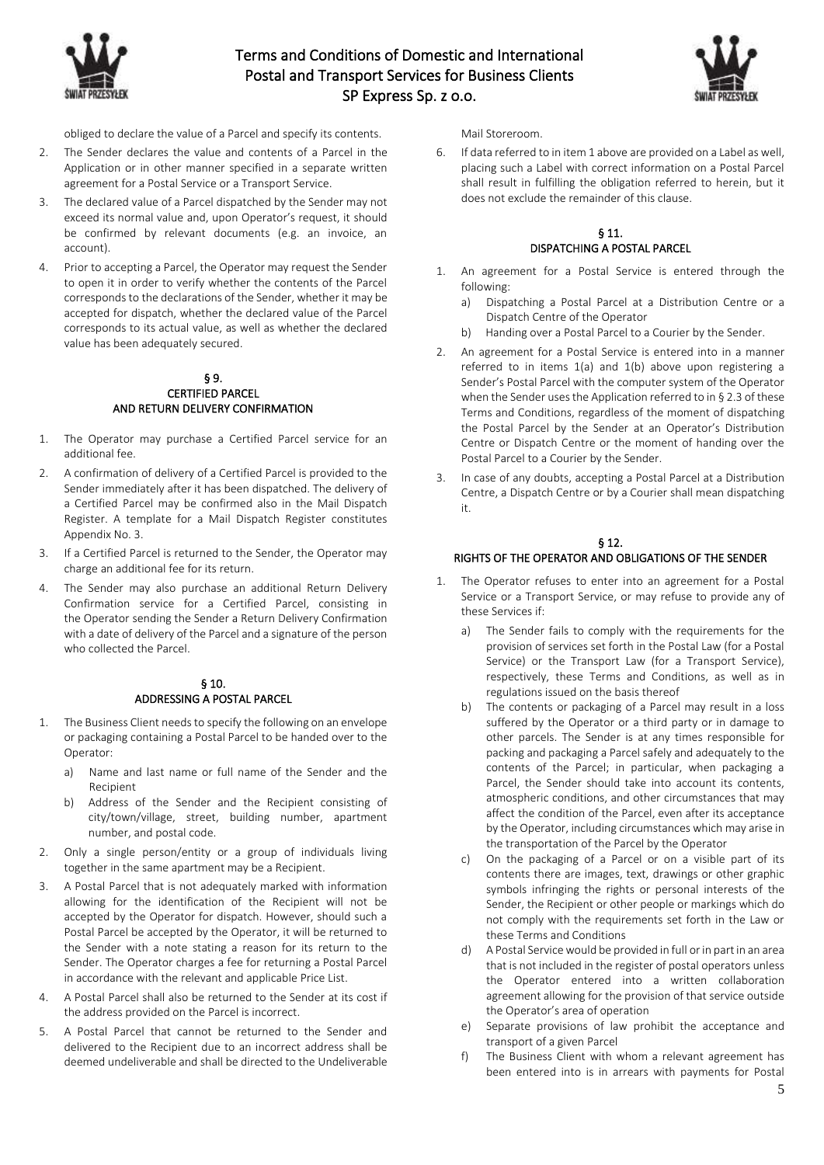



obliged to declare the value of a Parcel and specify its contents.

- 2. The Sender declares the value and contents of a Parcel in the Application or in other manner specified in a separate written agreement for a Postal Service or a Transport Service.
- 3. The declared value of a Parcel dispatched by the Sender may not exceed its normal value and, upon Operator's request, it should be confirmed by relevant documents (e.g. an invoice, an account).
- 4. Prior to accepting a Parcel, the Operator may request the Sender to open it in order to verify whether the contents of the Parcel corresponds to the declarations of the Sender, whether it may be accepted for dispatch, whether the declared value of the Parcel corresponds to its actual value, as well as whether the declared value has been adequately secured.

### § 9. CERTIFIED PARCEL AND RETURN DELIVERY CONFIRMATION

- 1. The Operator may purchase a Certified Parcel service for an additional fee.
- 2. A confirmation of delivery of a Certified Parcel is provided to the Sender immediately after it has been dispatched. The delivery of a Certified Parcel may be confirmed also in the Mail Dispatch Register. A template for a Mail Dispatch Register constitutes Appendix No. 3.
- 3. If a Certified Parcel is returned to the Sender, the Operator may charge an additional fee for its return.
- 4. The Sender may also purchase an additional Return Delivery Confirmation service for a Certified Parcel, consisting in the Operator sending the Sender a Return Delivery Confirmation with a date of delivery of the Parcel and a signature of the person who collected the Parcel.

### § 10. ADDRESSING A POSTAL PARCEL

- 1. The Business Client needs to specify the following on an envelope or packaging containing a Postal Parcel to be handed over to the Operator:
	- a) Name and last name or full name of the Sender and the Recipient
	- b) Address of the Sender and the Recipient consisting of city/town/village, street, building number, apartment number, and postal code.
- 2. Only a single person/entity or a group of individuals living together in the same apartment may be a Recipient.
- 3. A Postal Parcel that is not adequately marked with information allowing for the identification of the Recipient will not be accepted by the Operator for dispatch. However, should such a Postal Parcel be accepted by the Operator, it will be returned to the Sender with a note stating a reason for its return to the Sender. The Operator charges a fee for returning a Postal Parcel in accordance with the relevant and applicable Price List.
- 4. A Postal Parcel shall also be returned to the Sender at its cost if the address provided on the Parcel is incorrect.
- 5. A Postal Parcel that cannot be returned to the Sender and delivered to the Recipient due to an incorrect address shall be deemed undeliverable and shall be directed to the Undeliverable

Mail Storeroom.

6. If data referred to in item 1 above are provided on a Label as well, placing such a Label with correct information on a Postal Parcel shall result in fulfilling the obligation referred to herein, but it does not exclude the remainder of this clause.

# § 11. DISPATCHING A POSTAL PARCEL

- 1. An agreement for a Postal Service is entered through the following:
	- a) Dispatching a Postal Parcel at a Distribution Centre or a Dispatch Centre of the Operator
	- b) Handing over a Postal Parcel to a Courier by the Sender.
- 2. An agreement for a Postal Service is entered into in a manner referred to in items 1(a) and 1(b) above upon registering a Sender's Postal Parcel with the computer system of the Operator when the Sender uses the Application referred to in § 2.3 of these Terms and Conditions, regardless of the moment of dispatching the Postal Parcel by the Sender at an Operator's Distribution Centre or Dispatch Centre or the moment of handing over the Postal Parcel to a Courier by the Sender.
- 3. In case of any doubts, accepting a Postal Parcel at a Distribution Centre, a Dispatch Centre or by a Courier shall mean dispatching it.

## § 12. RIGHTS OF THE OPERATOR AND OBLIGATIONS OF THE SENDER

- 1. The Operator refuses to enter into an agreement for a Postal Service or a Transport Service, or may refuse to provide any of these Services if:
	- a) The Sender fails to comply with the requirements for the provision of services set forth in the Postal Law (for a Postal Service) or the Transport Law (for a Transport Service), respectively, these Terms and Conditions, as well as in regulations issued on the basis thereof
	- b) The contents or packaging of a Parcel may result in a loss suffered by the Operator or a third party or in damage to other parcels. The Sender is at any times responsible for packing and packaging a Parcel safely and adequately to the contents of the Parcel; in particular, when packaging a Parcel, the Sender should take into account its contents, atmospheric conditions, and other circumstances that may affect the condition of the Parcel, even after its acceptance by the Operator, including circumstances which may arise in the transportation of the Parcel by the Operator
	- c) On the packaging of a Parcel or on a visible part of its contents there are images, text, drawings or other graphic symbols infringing the rights or personal interests of the Sender, the Recipient or other people or markings which do not comply with the requirements set forth in the Law or these Terms and Conditions
	- d) A Postal Service would be provided in full or in part in an area that is not included in the register of postal operators unless the Operator entered into a written collaboration agreement allowing for the provision of that service outside the Operator's area of operation
	- e) Separate provisions of law prohibit the acceptance and transport of a given Parcel
	- f) The Business Client with whom a relevant agreement has been entered into is in arrears with payments for Postal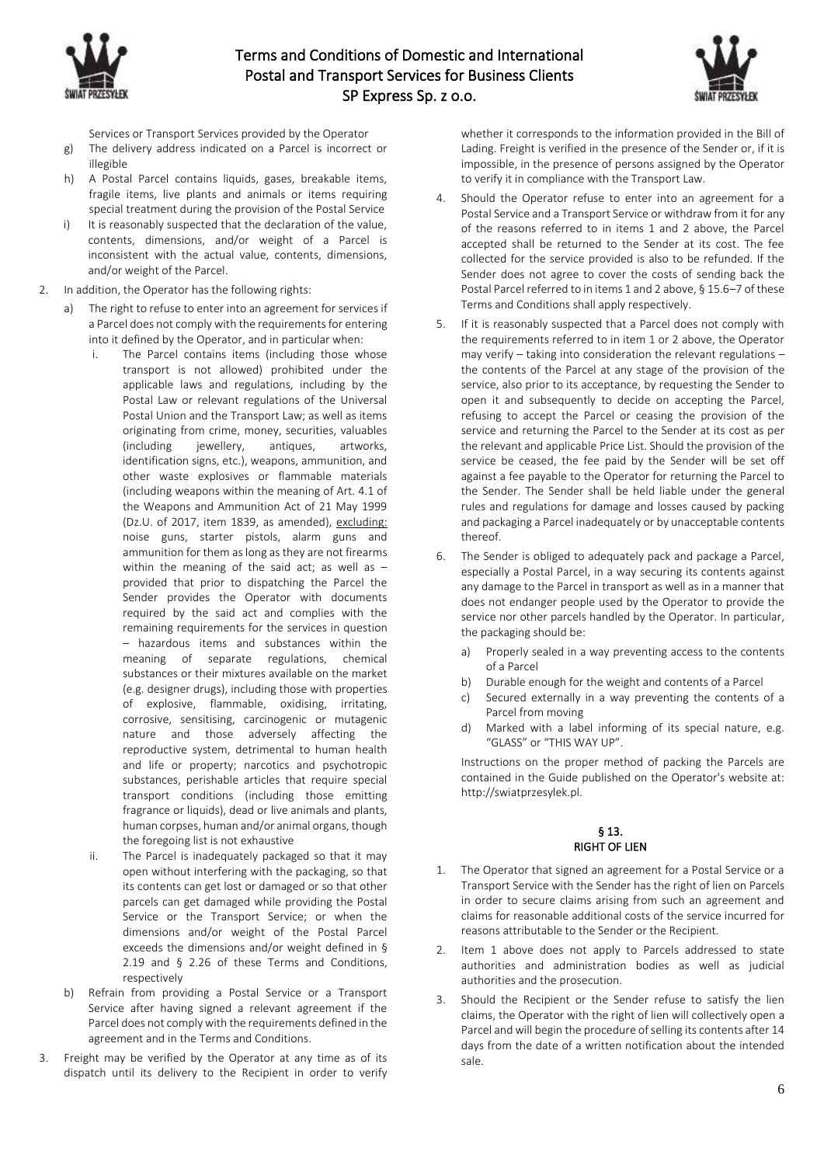



Services or Transport Services provided by the Operator

- g) The delivery address indicated on a Parcel is incorrect or illegible
- h) A Postal Parcel contains liquids, gases, breakable items, fragile items, live plants and animals or items requiring special treatment during the provision of the Postal Service
- i) It is reasonably suspected that the declaration of the value, contents, dimensions, and/or weight of a Parcel is inconsistent with the actual value, contents, dimensions, and/or weight of the Parcel.
- 2. In addition, the Operator has the following rights:
	- The right to refuse to enter into an agreement for services if a Parcel does not comply with the requirements for entering into it defined by the Operator, and in particular when:
		- The Parcel contains items (including those whose transport is not allowed) prohibited under the applicable laws and regulations, including by the Postal Law or relevant regulations of the Universal Postal Union and the Transport Law; as well as items originating from crime, money, securities, valuables (including jewellery, antiques, artworks, identification signs, etc.), weapons, ammunition, and other waste explosives or flammable materials (including weapons within the meaning of Art. 4.1 of the Weapons and Ammunition Act of 21 May 1999 (Dz.U. of 2017, item 1839, as amended), excluding: noise guns, starter pistols, alarm guns and ammunition for them as long as they are not firearms within the meaning of the said act; as well as  $$ provided that prior to dispatching the Parcel the Sender provides the Operator with documents required by the said act and complies with the remaining requirements for the services in question – hazardous items and substances within the meaning of separate regulations, chemical substances or their mixtures available on the market (e.g. designer drugs), including those with properties of explosive, flammable, oxidising, irritating, corrosive, sensitising, carcinogenic or mutagenic nature and those adversely affecting the reproductive system, detrimental to human health and life or property; narcotics and psychotropic substances, perishable articles that require special transport conditions (including those emitting fragrance or liquids), dead or live animals and plants, human corpses, human and/or animal organs, though the foregoing list is not exhaustive
		- ii. The Parcel is inadequately packaged so that it may open without interfering with the packaging, so that its contents can get lost or damaged or so that other parcels can get damaged while providing the Postal Service or the Transport Service; or when the dimensions and/or weight of the Postal Parcel exceeds the dimensions and/or weight defined in § 2.19 and § 2.26 of these Terms and Conditions, respectively
	- b) Refrain from providing a Postal Service or a Transport Service after having signed a relevant agreement if the Parcel does not comply with the requirements defined in the agreement and in the Terms and Conditions.
- 3. Freight may be verified by the Operator at any time as of its dispatch until its delivery to the Recipient in order to verify

whether it corresponds to the information provided in the Bill of Lading. Freight is verified in the presence of the Sender or, if it is impossible, in the presence of persons assigned by the Operator to verify it in compliance with the Transport Law.

- 4. Should the Operator refuse to enter into an agreement for a Postal Service and a Transport Service or withdraw from it for any of the reasons referred to in items 1 and 2 above, the Parcel accepted shall be returned to the Sender at its cost. The fee collected for the service provided is also to be refunded. If the Sender does not agree to cover the costs of sending back the Postal Parcel referred to in items 1 and 2 above, § 15.6–7 of these Terms and Conditions shall apply respectively.
- 5. If it is reasonably suspected that a Parcel does not comply with the requirements referred to in item 1 or 2 above, the Operator may verify – taking into consideration the relevant regulations – the contents of the Parcel at any stage of the provision of the service, also prior to its acceptance, by requesting the Sender to open it and subsequently to decide on accepting the Parcel, refusing to accept the Parcel or ceasing the provision of the service and returning the Parcel to the Sender at its cost as per the relevant and applicable Price List. Should the provision of the service be ceased, the fee paid by the Sender will be set off against a fee payable to the Operator for returning the Parcel to the Sender. The Sender shall be held liable under the general rules and regulations for damage and losses caused by packing and packaging a Parcel inadequately or by unacceptable contents thereof.
- 6. The Sender is obliged to adequately pack and package a Parcel, especially a Postal Parcel, in a way securing its contents against any damage to the Parcel in transport as well as in a manner that does not endanger people used by the Operator to provide the service nor other parcels handled by the Operator. In particular, the packaging should be:
	- a) Properly sealed in a way preventing access to the contents of a Parcel
	- b) Durable enough for the weight and contents of a Parcel
	- c) Secured externally in a way preventing the contents of a Parcel from moving
	- d) Marked with a label informing of its special nature, e.g. "GLASS" or "THIS WAY UP".

Instructions on the proper method of packing the Parcels are contained in the Guide published on the Operator's website at: http://swiatprzesylek.pl.

### § 13. RIGHT OF LIEN

- 1. The Operator that signed an agreement for a Postal Service or a Transport Service with the Sender has the right of lien on Parcels in order to secure claims arising from such an agreement and claims for reasonable additional costs of the service incurred for reasons attributable to the Sender or the Recipient.
- 2. Item 1 above does not apply to Parcels addressed to state authorities and administration bodies as well as judicial authorities and the prosecution.
- 3. Should the Recipient or the Sender refuse to satisfy the lien claims, the Operator with the right of lien will collectively open a Parcel and will begin the procedure of selling its contents after 14 days from the date of a written notification about the intended sale.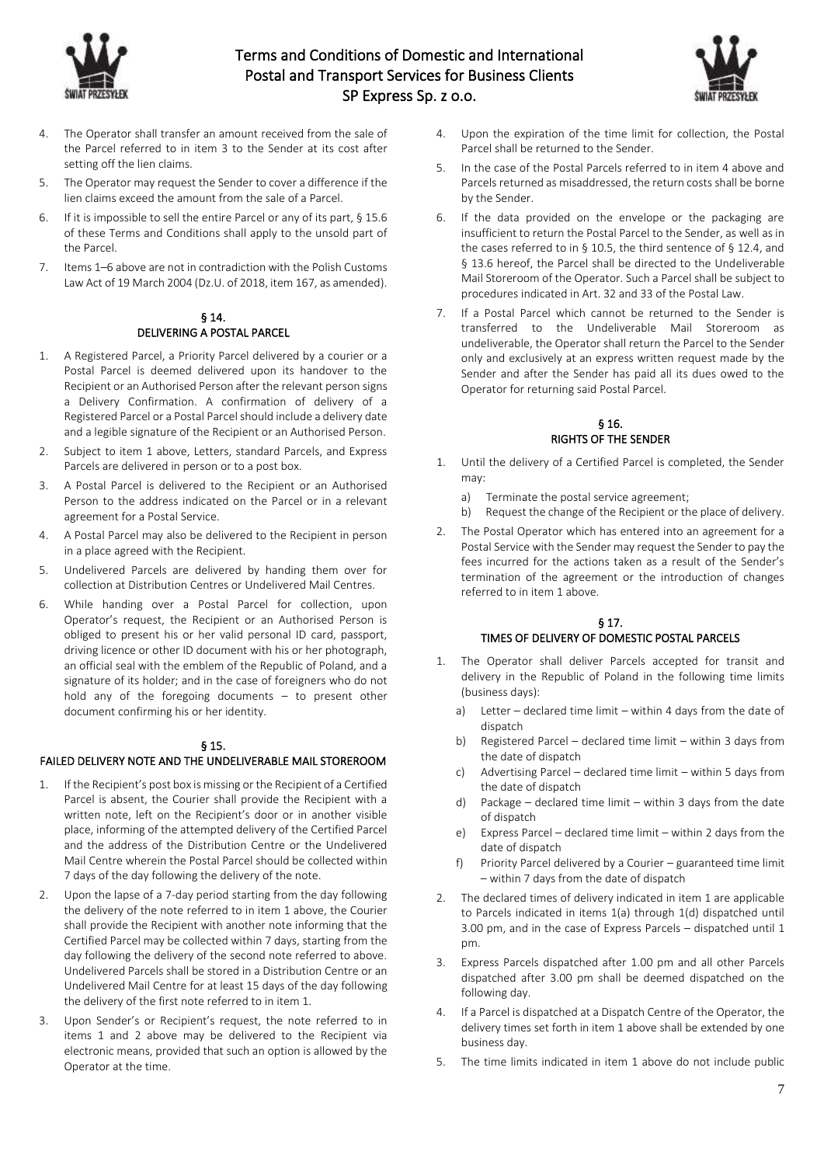



- 4. The Operator shall transfer an amount received from the sale of the Parcel referred to in item 3 to the Sender at its cost after setting off the lien claims.
- 5. The Operator may request the Sender to cover a difference if the lien claims exceed the amount from the sale of a Parcel.
- 6. If it is impossible to sell the entire Parcel or any of its part, § 15.6 of these Terms and Conditions shall apply to the unsold part of the Parcel.
- 7. Items 1–6 above are not in contradiction with the Polish Customs Law Act of 19 March 2004 (Dz.U. of 2018, item 167, as amended).

### § 14. DELIVERING A POSTAL PARCEL

- 1. A Registered Parcel, a Priority Parcel delivered by a courier or a Postal Parcel is deemed delivered upon its handover to the Recipient or an Authorised Person after the relevant person signs a Delivery Confirmation. A confirmation of delivery of a Registered Parcel or a Postal Parcel should include a delivery date and a legible signature of the Recipient or an Authorised Person.
- 2. Subject to item 1 above, Letters, standard Parcels, and Express Parcels are delivered in person or to a post box.
- 3. A Postal Parcel is delivered to the Recipient or an Authorised Person to the address indicated on the Parcel or in a relevant agreement for a Postal Service.
- 4. A Postal Parcel may also be delivered to the Recipient in person in a place agreed with the Recipient.
- 5. Undelivered Parcels are delivered by handing them over for collection at Distribution Centres or Undelivered Mail Centres.
- 6. While handing over a Postal Parcel for collection, upon Operator's request, the Recipient or an Authorised Person is obliged to present his or her valid personal ID card, passport, driving licence or other ID document with his or her photograph, an official seal with the emblem of the Republic of Poland, and a signature of its holder; and in the case of foreigners who do not hold any of the foregoing documents – to present other document confirming his or her identity.

# § 15.

# FAILED DELIVERY NOTE AND THE UNDELIVERABLE MAIL STOREROOM

- If the Recipient's post box is missing or the Recipient of a Certified Parcel is absent, the Courier shall provide the Recipient with a written note, left on the Recipient's door or in another visible place, informing of the attempted delivery of the Certified Parcel and the address of the Distribution Centre or the Undelivered Mail Centre wherein the Postal Parcel should be collected within 7 days of the day following the delivery of the note.
- 2. Upon the lapse of a 7-day period starting from the day following the delivery of the note referred to in item 1 above, the Courier shall provide the Recipient with another note informing that the Certified Parcel may be collected within 7 days, starting from the day following the delivery of the second note referred to above. Undelivered Parcels shall be stored in a Distribution Centre or an Undelivered Mail Centre for at least 15 days of the day following the delivery of the first note referred to in item 1.
- Upon Sender's or Recipient's request, the note referred to in items 1 and 2 above may be delivered to the Recipient via electronic means, provided that such an option is allowed by the Operator at the time.
- 4. Upon the expiration of the time limit for collection, the Postal Parcel shall be returned to the Sender.
- 5. In the case of the Postal Parcels referred to in item 4 above and Parcels returned as misaddressed, the return costs shall be borne by the Sender.
- 6. If the data provided on the envelope or the packaging are insufficient to return the Postal Parcel to the Sender, as well as in the cases referred to in § 10.5, the third sentence of § 12.4, and § 13.6 hereof, the Parcel shall be directed to the Undeliverable Mail Storeroom of the Operator. Such a Parcel shall be subject to procedures indicated in Art. 32 and 33 of the Postal Law.
- 7. If a Postal Parcel which cannot be returned to the Sender is transferred to the Undeliverable Mail Storeroom as undeliverable, the Operator shall return the Parcel to the Sender only and exclusively at an express written request made by the Sender and after the Sender has paid all its dues owed to the Operator for returning said Postal Parcel.

## § 16. RIGHTS OF THE SENDER

- 1. Until the delivery of a Certified Parcel is completed, the Sender may:
	- a) Terminate the postal service agreement;
	- b) Request the change of the Recipient or the place of delivery.
- 2. The Postal Operator which has entered into an agreement for a Postal Service with the Sender may request the Sender to pay the fees incurred for the actions taken as a result of the Sender's termination of the agreement or the introduction of changes referred to in item 1 above.

# § 17. TIMES OF DELIVERY OF DOMESTIC POSTAL PARCELS

- 1. The Operator shall deliver Parcels accepted for transit and delivery in the Republic of Poland in the following time limits (business days):
	- a) Letter declared time limit within 4 days from the date of dispatch
	- b) Registered Parcel declared time limit within 3 days from the date of dispatch
	- c) Advertising Parcel declared time limit within 5 days from the date of dispatch
	- d) Package declared time limit within 3 days from the date of dispatch
	- e) Express Parcel declared time limit within 2 days from the date of dispatch
	- f) Priority Parcel delivered by a Courier guaranteed time limit – within 7 days from the date of dispatch
- 2. The declared times of delivery indicated in item 1 are applicable to Parcels indicated in items 1(a) through 1(d) dispatched until 3.00 pm, and in the case of Express Parcels – dispatched until 1 pm.
- 3. Express Parcels dispatched after 1.00 pm and all other Parcels dispatched after 3.00 pm shall be deemed dispatched on the following day.
- 4. If a Parcel is dispatched at a Dispatch Centre of the Operator, the delivery times set forth in item 1 above shall be extended by one business day.
- 5. The time limits indicated in item 1 above do not include public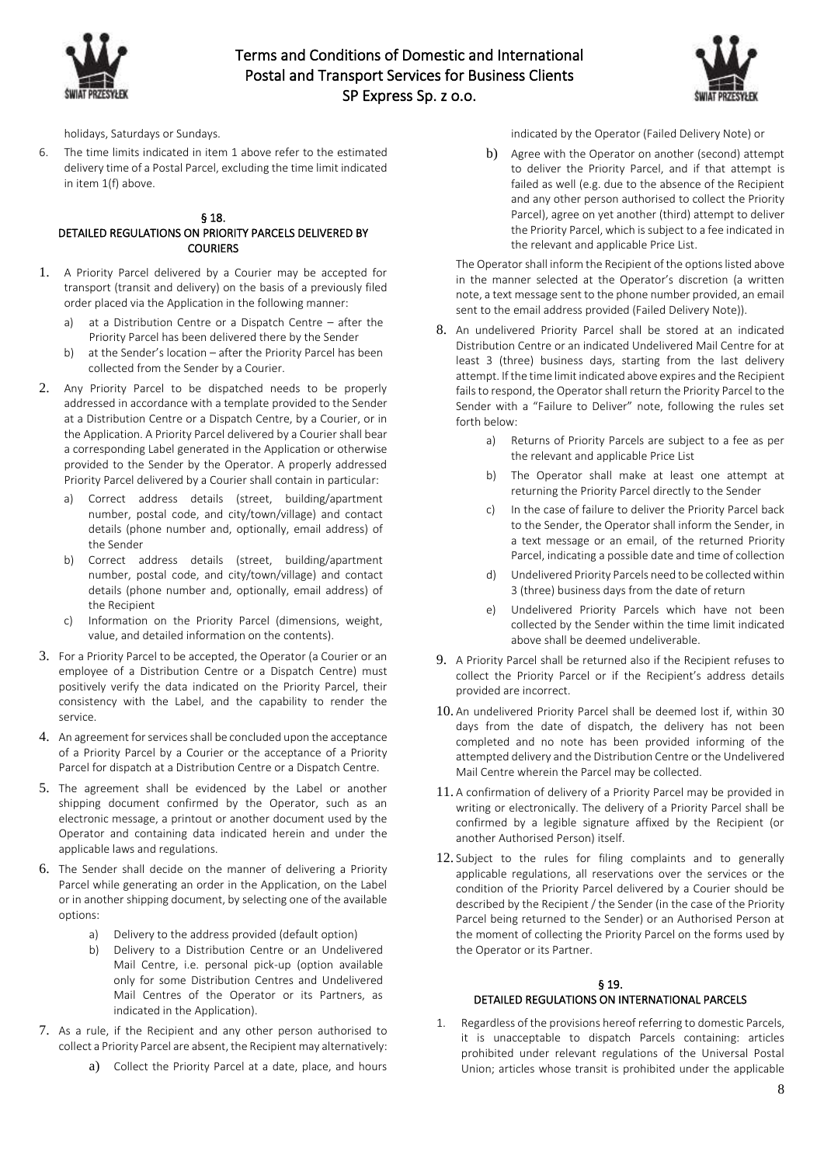



holidays, Saturdays or Sundays.

6. The time limits indicated in item 1 above refer to the estimated delivery time of a Postal Parcel, excluding the time limit indicated in item 1(f) above.

#### § 18. DETAILED REGULATIONS ON PRIORITY PARCELS DELIVERED BY **COURIERS**

- 1. A Priority Parcel delivered by a Courier may be accepted for transport (transit and delivery) on the basis of a previously filed order placed via the Application in the following manner:
	- a) at a Distribution Centre or a Dispatch Centre after the Priority Parcel has been delivered there by the Sender
	- b) at the Sender's location after the Priority Parcel has been collected from the Sender by a Courier.
- 2. Any Priority Parcel to be dispatched needs to be properly addressed in accordance with a template provided to the Sender at a Distribution Centre or a Dispatch Centre, by a Courier, or in the Application. A Priority Parcel delivered by a Courier shall bear a corresponding Label generated in the Application or otherwise provided to the Sender by the Operator. A properly addressed Priority Parcel delivered by a Courier shall contain in particular:
	- a) Correct address details (street, building/apartment number, postal code, and city/town/village) and contact details (phone number and, optionally, email address) of the Sender
	- b) Correct address details (street, building/apartment number, postal code, and city/town/village) and contact details (phone number and, optionally, email address) of the Recipient
	- c) Information on the Priority Parcel (dimensions, weight, value, and detailed information on the contents).
- 3. For a Priority Parcel to be accepted, the Operator (a Courier or an employee of a Distribution Centre or a Dispatch Centre) must positively verify the data indicated on the Priority Parcel, their consistency with the Label, and the capability to render the service.
- 4. An agreement for services shall be concluded upon the acceptance of a Priority Parcel by a Courier or the acceptance of a Priority Parcel for dispatch at a Distribution Centre or a Dispatch Centre.
- 5. The agreement shall be evidenced by the Label or another shipping document confirmed by the Operator, such as an electronic message, a printout or another document used by the Operator and containing data indicated herein and under the applicable laws and regulations.
- 6. The Sender shall decide on the manner of delivering a Priority Parcel while generating an order in the Application, on the Label or in another shipping document, by selecting one of the available options:
	- a) Delivery to the address provided (default option)
	- b) Delivery to a Distribution Centre or an Undelivered Mail Centre, i.e. personal pick-up (option available only for some Distribution Centres and Undelivered Mail Centres of the Operator or its Partners, as indicated in the Application).
- 7. As a rule, if the Recipient and any other person authorised to collect a Priority Parcel are absent, the Recipient may alternatively:
	- a) Collect the Priority Parcel at a date, place, and hours

indicated by the Operator (Failed Delivery Note) or

b) Agree with the Operator on another (second) attempt to deliver the Priority Parcel, and if that attempt is failed as well (e.g. due to the absence of the Recipient and any other person authorised to collect the Priority Parcel), agree on yet another (third) attempt to deliver the Priority Parcel, which is subject to a fee indicated in the relevant and applicable Price List.

The Operator shall inform the Recipient of the options listed above in the manner selected at the Operator's discretion (a written note, a text message sent to the phone number provided, an email sent to the email address provided (Failed Delivery Note)).

- 8. An undelivered Priority Parcel shall be stored at an indicated Distribution Centre or an indicated Undelivered Mail Centre for at least 3 (three) business days, starting from the last delivery attempt. If the time limit indicated above expires and the Recipient fails to respond, the Operator shall return the Priority Parcel to the Sender with a "Failure to Deliver" note, following the rules set forth below:
	- a) Returns of Priority Parcels are subject to a fee as per the relevant and applicable Price List
	- b) The Operator shall make at least one attempt at returning the Priority Parcel directly to the Sender
	- c) In the case of failure to deliver the Priority Parcel back to the Sender, the Operator shall inform the Sender, in a text message or an email, of the returned Priority Parcel, indicating a possible date and time of collection
	- d) Undelivered Priority Parcels need to be collected within 3 (three) business days from the date of return
	- e) Undelivered Priority Parcels which have not been collected by the Sender within the time limit indicated above shall be deemed undeliverable.
- 9. A Priority Parcel shall be returned also if the Recipient refuses to collect the Priority Parcel or if the Recipient's address details provided are incorrect.
- 10. An undelivered Priority Parcel shall be deemed lost if, within 30 days from the date of dispatch, the delivery has not been completed and no note has been provided informing of the attempted delivery and the Distribution Centre or the Undelivered Mail Centre wherein the Parcel may be collected.
- 11. A confirmation of delivery of a Priority Parcel may be provided in writing or electronically. The delivery of a Priority Parcel shall be confirmed by a legible signature affixed by the Recipient (or another Authorised Person) itself.
- 12. Subject to the rules for filing complaints and to generally applicable regulations, all reservations over the services or the condition of the Priority Parcel delivered by a Courier should be described by the Recipient / the Sender (in the case of the Priority Parcel being returned to the Sender) or an Authorised Person at the moment of collecting the Priority Parcel on the forms used by the Operator or its Partner.

# § 19.

# DETAILED REGULATIONS ON INTERNATIONAL PARCELS

1. Regardless of the provisions hereof referring to domestic Parcels, it is unacceptable to dispatch Parcels containing: articles prohibited under relevant regulations of the Universal Postal Union; articles whose transit is prohibited under the applicable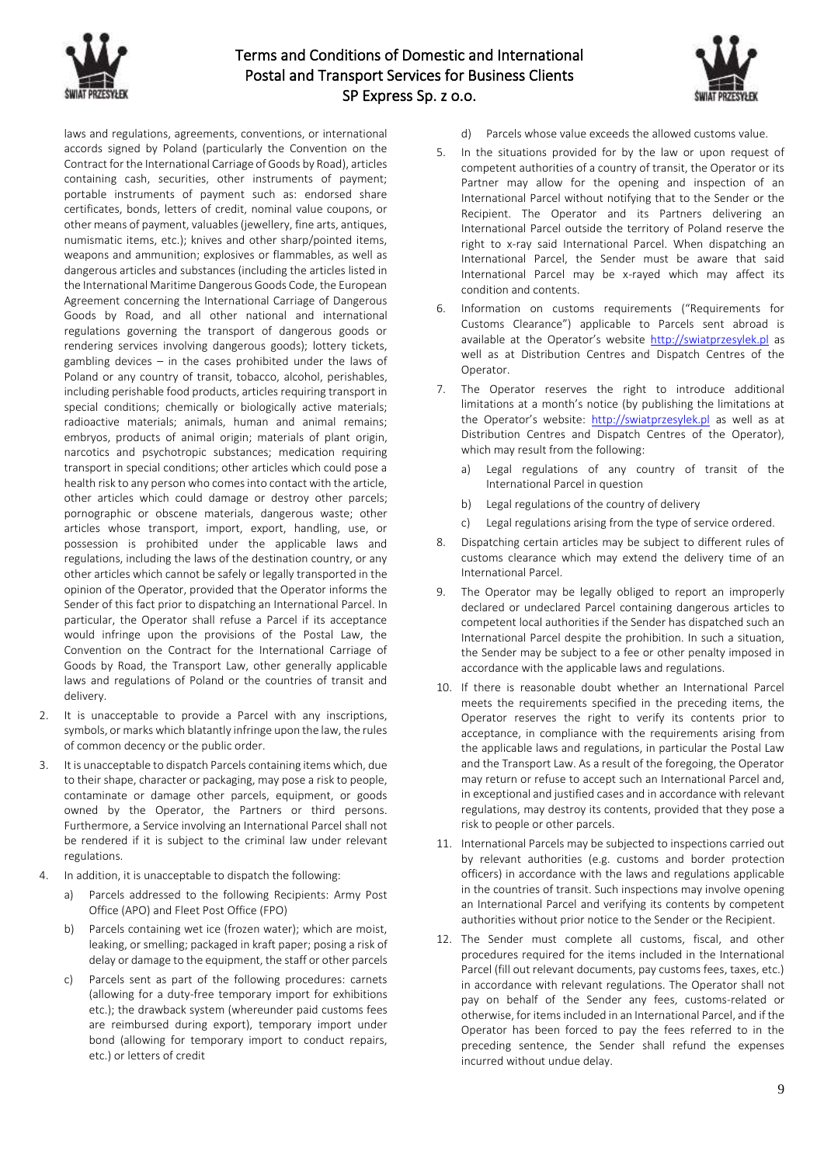



laws and regulations, agreements, conventions, or international accords signed by Poland (particularly the Convention on the Contract for the International Carriage of Goods by Road), articles containing cash, securities, other instruments of payment; portable instruments of payment such as: endorsed share certificates, bonds, letters of credit, nominal value coupons, or other means of payment, valuables (jewellery, fine arts, antiques, numismatic items, etc.); knives and other sharp/pointed items, weapons and ammunition; explosives or flammables, as well as dangerous articles and substances (including the articles listed in the International Maritime Dangerous Goods Code, the European Agreement concerning the International Carriage of Dangerous Goods by Road, and all other national and international regulations governing the transport of dangerous goods or rendering services involving dangerous goods); lottery tickets, gambling devices – in the cases prohibited under the laws of Poland or any country of transit, tobacco, alcohol, perishables, including perishable food products, articles requiring transport in special conditions; chemically or biologically active materials; radioactive materials; animals, human and animal remains; embryos, products of animal origin; materials of plant origin, narcotics and psychotropic substances; medication requiring transport in special conditions; other articles which could pose a health risk to any person who comes into contact with the article, other articles which could damage or destroy other parcels; pornographic or obscene materials, dangerous waste; other articles whose transport, import, export, handling, use, or possession is prohibited under the applicable laws and regulations, including the laws of the destination country, or any other articles which cannot be safely or legally transported in the opinion of the Operator, provided that the Operator informs the Sender of this fact prior to dispatching an International Parcel. In particular, the Operator shall refuse a Parcel if its acceptance would infringe upon the provisions of the Postal Law, the Convention on the Contract for the International Carriage of Goods by Road, the Transport Law, other generally applicable laws and regulations of Poland or the countries of transit and delivery.

- 2. It is unacceptable to provide a Parcel with any inscriptions, symbols, or marks which blatantly infringe upon the law, the rules of common decency or the public order.
- 3. It is unacceptable to dispatch Parcels containing items which, due to their shape, character or packaging, may pose a risk to people, contaminate or damage other parcels, equipment, or goods owned by the Operator, the Partners or third persons. Furthermore, a Service involving an International Parcel shall not be rendered if it is subject to the criminal law under relevant regulations.
- 4. In addition, it is unacceptable to dispatch the following:
	- a) Parcels addressed to the following Recipients: Army Post Office (APO) and Fleet Post Office (FPO)
	- b) Parcels containing wet ice (frozen water); which are moist, leaking, or smelling; packaged in kraft paper; posing a risk of delay or damage to the equipment, the staff or other parcels
	- c) Parcels sent as part of the following procedures: carnets (allowing for a duty-free temporary import for exhibitions etc.); the drawback system (whereunder paid customs fees are reimbursed during export), temporary import under bond (allowing for temporary import to conduct repairs, etc.) or letters of credit
- d) Parcels whose value exceeds the allowed customs value.
- 5. In the situations provided for by the law or upon request of competent authorities of a country of transit, the Operator or its Partner may allow for the opening and inspection of an International Parcel without notifying that to the Sender or the Recipient. The Operator and its Partners delivering an International Parcel outside the territory of Poland reserve the right to x-ray said International Parcel. When dispatching an International Parcel, the Sender must be aware that said International Parcel may be x-rayed which may affect its condition and contents.
- 6. Information on customs requirements ("Requirements for Customs Clearance") applicable to Parcels sent abroad is available at the Operator's website [http://swiatprzesylek.pl](http://swiatprzesylek.pl/) as well as at Distribution Centres and Dispatch Centres of the Operator.
- 7. The Operator reserves the right to introduce additional limitations at a month's notice (by publishing the limitations at the Operator's website: [http://swiatprzesylek.pl](http://swiatprzesylek.pl/) as well as at Distribution Centres and Dispatch Centres of the Operator), which may result from the following:
	- a) Legal regulations of any country of transit of the International Parcel in question
	- b) Legal regulations of the country of delivery
	- c) Legal regulations arising from the type of service ordered.
- 8. Dispatching certain articles may be subject to different rules of customs clearance which may extend the delivery time of an International Parcel.
- 9. The Operator may be legally obliged to report an improperly declared or undeclared Parcel containing dangerous articles to competent local authorities if the Sender has dispatched such an International Parcel despite the prohibition. In such a situation, the Sender may be subject to a fee or other penalty imposed in accordance with the applicable laws and regulations.
- 10. If there is reasonable doubt whether an International Parcel meets the requirements specified in the preceding items, the Operator reserves the right to verify its contents prior to acceptance, in compliance with the requirements arising from the applicable laws and regulations, in particular the Postal Law and the Transport Law. As a result of the foregoing, the Operator may return or refuse to accept such an International Parcel and, in exceptional and justified cases and in accordance with relevant regulations, may destroy its contents, provided that they pose a risk to people or other parcels.
- 11. International Parcels may be subjected to inspections carried out by relevant authorities (e.g. customs and border protection officers) in accordance with the laws and regulations applicable in the countries of transit. Such inspections may involve opening an International Parcel and verifying its contents by competent authorities without prior notice to the Sender or the Recipient.
- 12. The Sender must complete all customs, fiscal, and other procedures required for the items included in the International Parcel (fill out relevant documents, pay customs fees, taxes, etc.) in accordance with relevant regulations. The Operator shall not pay on behalf of the Sender any fees, customs-related or otherwise, for items included in an International Parcel, and if the Operator has been forced to pay the fees referred to in the preceding sentence, the Sender shall refund the expenses incurred without undue delay.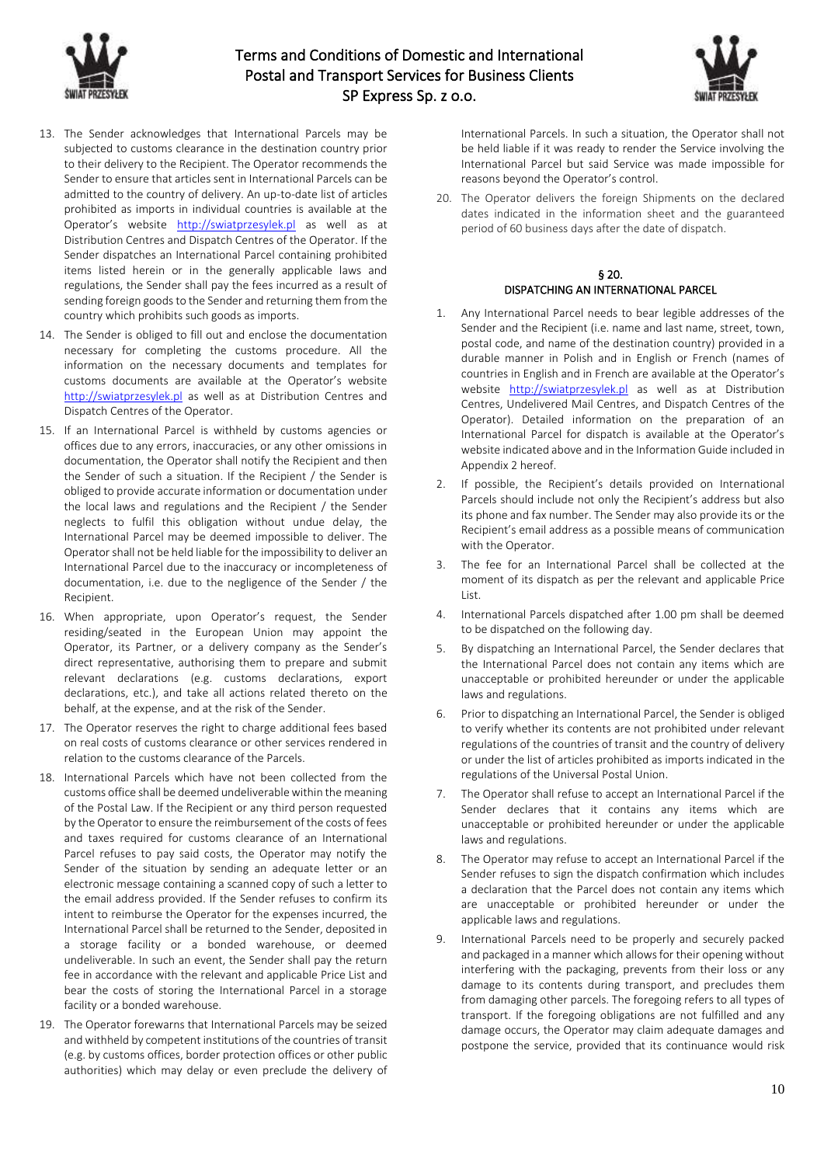



- 13. The Sender acknowledges that International Parcels may be subjected to customs clearance in the destination country prior to their delivery to the Recipient. The Operator recommends the Sender to ensure that articles sent in International Parcels can be admitted to the country of delivery. An up-to-date list of articles prohibited as imports in individual countries is available at the Operator's website [http://swiatprzesylek.pl](http://swiatprzesylek.pl/) as well as at Distribution Centres and Dispatch Centres of the Operator. If the Sender dispatches an International Parcel containing prohibited items listed herein or in the generally applicable laws and regulations, the Sender shall pay the fees incurred as a result of sending foreign goods to the Sender and returning them from the country which prohibits such goods as imports.
- 14. The Sender is obliged to fill out and enclose the documentation necessary for completing the customs procedure. All the information on the necessary documents and templates for customs documents are available at the Operator's website [http://swiatprzesylek.pl](http://swiatprzesylek.pl/) as well as at Distribution Centres and Dispatch Centres of the Operator.
- 15. If an International Parcel is withheld by customs agencies or offices due to any errors, inaccuracies, or any other omissions in documentation, the Operator shall notify the Recipient and then the Sender of such a situation. If the Recipient / the Sender is obliged to provide accurate information or documentation under the local laws and regulations and the Recipient / the Sender neglects to fulfil this obligation without undue delay, the International Parcel may be deemed impossible to deliver. The Operator shall not be held liable for the impossibility to deliver an International Parcel due to the inaccuracy or incompleteness of documentation, i.e. due to the negligence of the Sender / the Recipient.
- 16. When appropriate, upon Operator's request, the Sender residing/seated in the European Union may appoint the Operator, its Partner, or a delivery company as the Sender's direct representative, authorising them to prepare and submit relevant declarations (e.g. customs declarations, export declarations, etc.), and take all actions related thereto on the behalf, at the expense, and at the risk of the Sender.
- 17. The Operator reserves the right to charge additional fees based on real costs of customs clearance or other services rendered in relation to the customs clearance of the Parcels.
- 18. International Parcels which have not been collected from the customs office shall be deemed undeliverable within the meaning of the Postal Law. If the Recipient or any third person requested by the Operator to ensure the reimbursement of the costs of fees and taxes required for customs clearance of an International Parcel refuses to pay said costs, the Operator may notify the Sender of the situation by sending an adequate letter or an electronic message containing a scanned copy of such a letter to the email address provided. If the Sender refuses to confirm its intent to reimburse the Operator for the expenses incurred, the International Parcel shall be returned to the Sender, deposited in a storage facility or a bonded warehouse, or deemed undeliverable. In such an event, the Sender shall pay the return fee in accordance with the relevant and applicable Price List and bear the costs of storing the International Parcel in a storage facility or a bonded warehouse.
- 19. The Operator forewarns that International Parcels may be seized and withheld by competent institutions of the countries of transit (e.g. by customs offices, border protection offices or other public authorities) which may delay or even preclude the delivery of

International Parcels. In such a situation, the Operator shall not be held liable if it was ready to render the Service involving the International Parcel but said Service was made impossible for reasons beyond the Operator's control.

20. The Operator delivers the foreign Shipments on the declared dates indicated in the information sheet and the guaranteed period of 60 business days after the date of dispatch.

## § 20. DISPATCHING AN INTERNATIONAL PARCEL

- 1. Any International Parcel needs to bear legible addresses of the Sender and the Recipient (i.e. name and last name, street, town, postal code, and name of the destination country) provided in a durable manner in Polish and in English or French (names of countries in English and in French are available at the Operator's website [http://swiatprzesylek.pl](http://swiatprzesylek.pl/) as well as at Distribution Centres, Undelivered Mail Centres, and Dispatch Centres of the Operator). Detailed information on the preparation of an International Parcel for dispatch is available at the Operator's website indicated above and in the Information Guide included in Appendix 2 hereof.
- 2. If possible, the Recipient's details provided on International Parcels should include not only the Recipient's address but also its phone and fax number. The Sender may also provide its or the Recipient's email address as a possible means of communication with the Operator.
- 3. The fee for an International Parcel shall be collected at the moment of its dispatch as per the relevant and applicable Price List.
- 4. International Parcels dispatched after 1.00 pm shall be deemed to be dispatched on the following day.
- 5. By dispatching an International Parcel, the Sender declares that the International Parcel does not contain any items which are unacceptable or prohibited hereunder or under the applicable laws and regulations.
- 6. Prior to dispatching an International Parcel, the Sender is obliged to verify whether its contents are not prohibited under relevant regulations of the countries of transit and the country of delivery or under the list of articles prohibited as imports indicated in the regulations of the Universal Postal Union.
- 7. The Operator shall refuse to accept an International Parcel if the Sender declares that it contains any items which are unacceptable or prohibited hereunder or under the applicable laws and regulations.
- 8. The Operator may refuse to accept an International Parcel if the Sender refuses to sign the dispatch confirmation which includes a declaration that the Parcel does not contain any items which are unacceptable or prohibited hereunder or under the applicable laws and regulations.
- 9. International Parcels need to be properly and securely packed and packaged in a manner which allows for their opening without interfering with the packaging, prevents from their loss or any damage to its contents during transport, and precludes them from damaging other parcels. The foregoing refers to all types of transport. If the foregoing obligations are not fulfilled and any damage occurs, the Operator may claim adequate damages and postpone the service, provided that its continuance would risk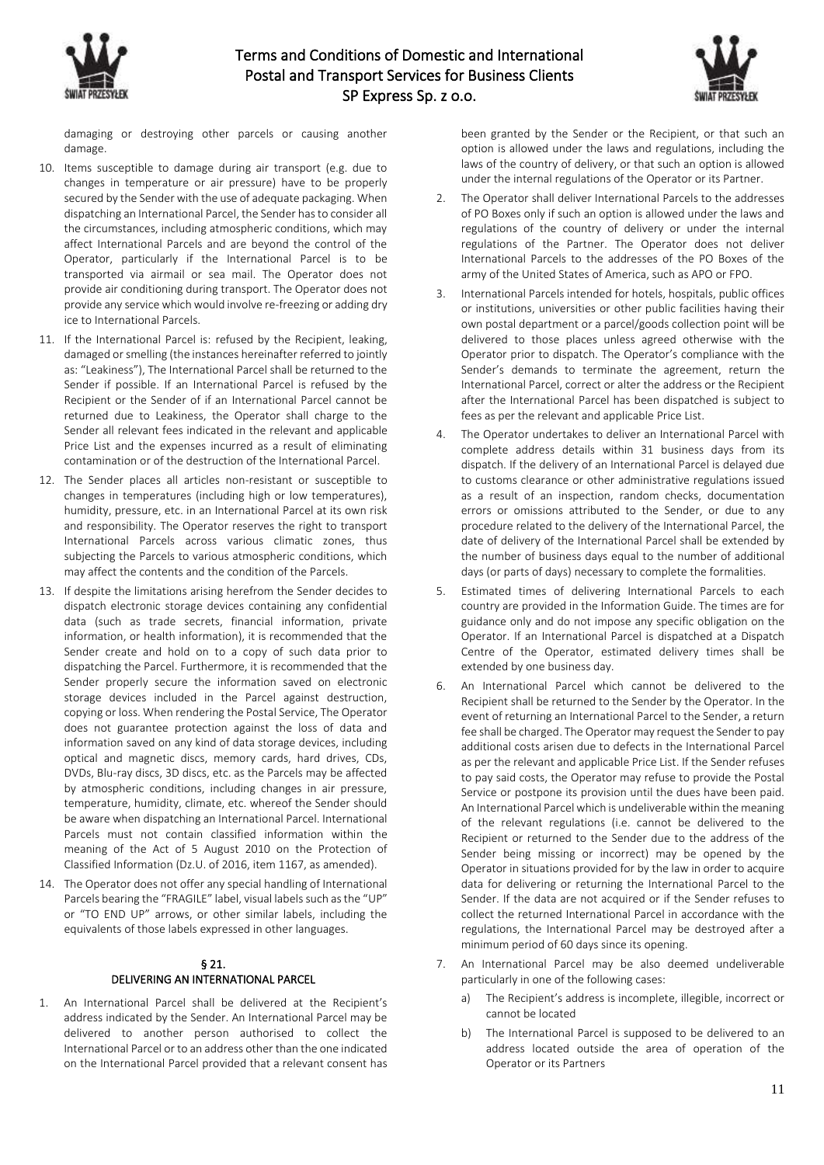

damaging or destroying other parcels or causing another damage.

- 10. Items susceptible to damage during air transport (e.g. due to changes in temperature or air pressure) have to be properly secured by the Sender with the use of adequate packaging. When dispatching an International Parcel, the Sender has to consider all the circumstances, including atmospheric conditions, which may affect International Parcels and are beyond the control of the Operator, particularly if the International Parcel is to be transported via airmail or sea mail. The Operator does not provide air conditioning during transport. The Operator does not provide any service which would involve re-freezing or adding dry ice to International Parcels.
- 11. If the International Parcel is: refused by the Recipient, leaking, damaged or smelling (the instances hereinafter referred to jointly as: "Leakiness"), The International Parcel shall be returned to the Sender if possible. If an International Parcel is refused by the Recipient or the Sender of if an International Parcel cannot be returned due to Leakiness, the Operator shall charge to the Sender all relevant fees indicated in the relevant and applicable Price List and the expenses incurred as a result of eliminating contamination or of the destruction of the International Parcel.
- 12. The Sender places all articles non-resistant or susceptible to changes in temperatures (including high or low temperatures), humidity, pressure, etc. in an International Parcel at its own risk and responsibility. The Operator reserves the right to transport International Parcels across various climatic zones, thus subjecting the Parcels to various atmospheric conditions, which may affect the contents and the condition of the Parcels.
- 13. If despite the limitations arising herefrom the Sender decides to dispatch electronic storage devices containing any confidential data (such as trade secrets, financial information, private information, or health information), it is recommended that the Sender create and hold on to a copy of such data prior to dispatching the Parcel. Furthermore, it is recommended that the Sender properly secure the information saved on electronic storage devices included in the Parcel against destruction, copying or loss. When rendering the Postal Service, The Operator does not guarantee protection against the loss of data and information saved on any kind of data storage devices, including optical and magnetic discs, memory cards, hard drives, CDs, DVDs, Blu-ray discs, 3D discs, etc. as the Parcels may be affected by atmospheric conditions, including changes in air pressure, temperature, humidity, climate, etc. whereof the Sender should be aware when dispatching an International Parcel. International Parcels must not contain classified information within the meaning of the Act of 5 August 2010 on the Protection of Classified Information (Dz.U. of 2016, item 1167, as amended).
- 14. The Operator does not offer any special handling of International Parcels bearing the "FRAGILE" label, visual labels such as the "UP" or "TO END UP" arrows, or other similar labels, including the equivalents of those labels expressed in other languages.

### § 21. DELIVERING AN INTERNATIONAL PARCEL

1. An International Parcel shall be delivered at the Recipient's address indicated by the Sender. An International Parcel may be delivered to another person authorised to collect the International Parcel or to an address other than the one indicated on the International Parcel provided that a relevant consent has been granted by the Sender or the Recipient, or that such an option is allowed under the laws and regulations, including the laws of the country of delivery, or that such an option is allowed under the internal regulations of the Operator or its Partner.

- 2. The Operator shall deliver International Parcels to the addresses of PO Boxes only if such an option is allowed under the laws and regulations of the country of delivery or under the internal regulations of the Partner. The Operator does not deliver International Parcels to the addresses of the PO Boxes of the army of the United States of America, such as APO or FPO.
- 3. International Parcels intended for hotels, hospitals, public offices or institutions, universities or other public facilities having their own postal department or a parcel/goods collection point will be delivered to those places unless agreed otherwise with the Operator prior to dispatch. The Operator's compliance with the Sender's demands to terminate the agreement, return the International Parcel, correct or alter the address or the Recipient after the International Parcel has been dispatched is subject to fees as per the relevant and applicable Price List.
- 4. The Operator undertakes to deliver an International Parcel with complete address details within 31 business days from its dispatch. If the delivery of an International Parcel is delayed due to customs clearance or other administrative regulations issued as a result of an inspection, random checks, documentation errors or omissions attributed to the Sender, or due to any procedure related to the delivery of the International Parcel, the date of delivery of the International Parcel shall be extended by the number of business days equal to the number of additional days (or parts of days) necessary to complete the formalities.
- 5. Estimated times of delivering International Parcels to each country are provided in the Information Guide. The times are for guidance only and do not impose any specific obligation on the Operator. If an International Parcel is dispatched at a Dispatch Centre of the Operator, estimated delivery times shall be extended by one business day.
- 6. An International Parcel which cannot be delivered to the Recipient shall be returned to the Sender by the Operator. In the event of returning an International Parcel to the Sender, a return fee shall be charged. The Operator may request the Sender to pay additional costs arisen due to defects in the International Parcel as per the relevant and applicable Price List. If the Sender refuses to pay said costs, the Operator may refuse to provide the Postal Service or postpone its provision until the dues have been paid. An International Parcel which is undeliverable within the meaning of the relevant regulations (i.e. cannot be delivered to the Recipient or returned to the Sender due to the address of the Sender being missing or incorrect) may be opened by the Operator in situations provided for by the law in order to acquire data for delivering or returning the International Parcel to the Sender. If the data are not acquired or if the Sender refuses to collect the returned International Parcel in accordance with the regulations, the International Parcel may be destroyed after a minimum period of 60 days since its opening.
- 7. An International Parcel may be also deemed undeliverable particularly in one of the following cases:
	- a) The Recipient's address is incomplete, illegible, incorrect or cannot be located
	- b) The International Parcel is supposed to be delivered to an address located outside the area of operation of the Operator or its Partners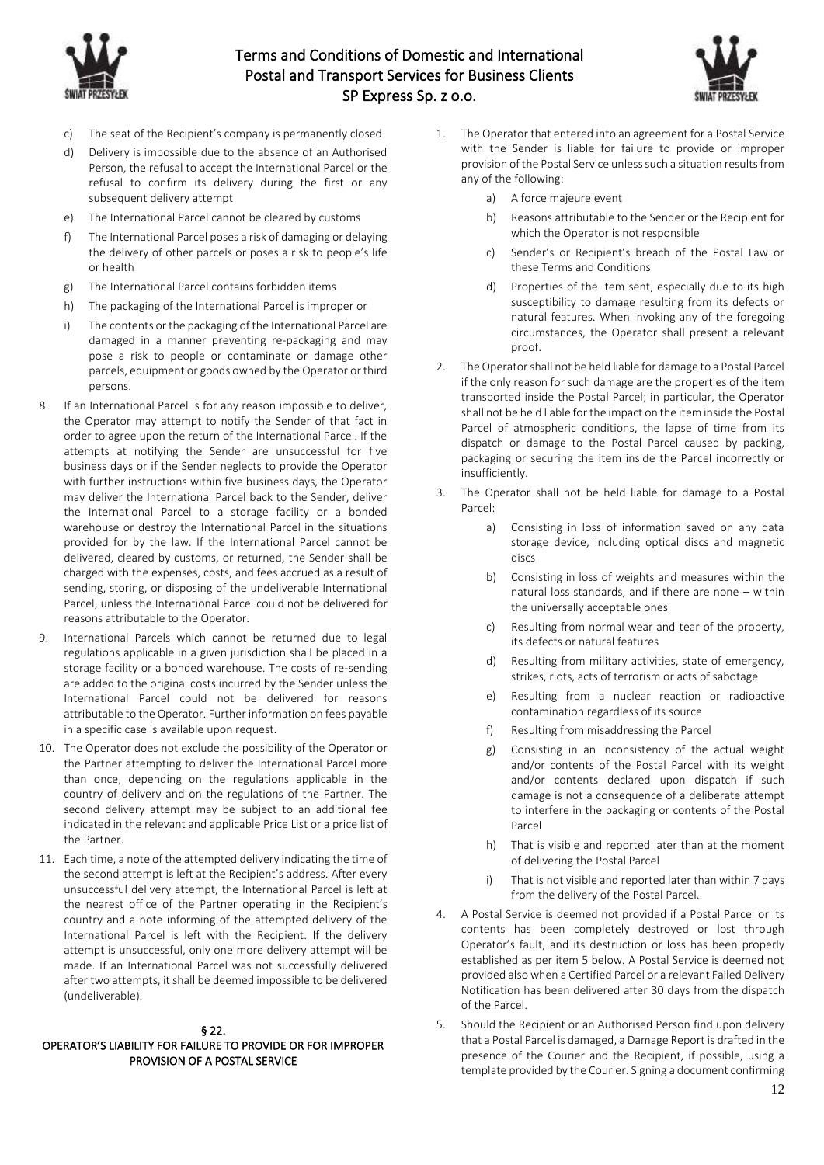



- c) The seat of the Recipient's company is permanently closed
- d) Delivery is impossible due to the absence of an Authorised Person, the refusal to accept the International Parcel or the refusal to confirm its delivery during the first or any subsequent delivery attempt
- e) The International Parcel cannot be cleared by customs
- f) The International Parcel poses a risk of damaging or delaying the delivery of other parcels or poses a risk to people's life or health
- g) The International Parcel contains forbidden items
- h) The packaging of the International Parcel is improper or
- i) The contents or the packaging of the International Parcel are damaged in a manner preventing re-packaging and may pose a risk to people or contaminate or damage other parcels, equipment or goods owned by the Operator or third persons.
- 8. If an International Parcel is for any reason impossible to deliver, the Operator may attempt to notify the Sender of that fact in order to agree upon the return of the International Parcel. If the attempts at notifying the Sender are unsuccessful for five business days or if the Sender neglects to provide the Operator with further instructions within five business days, the Operator may deliver the International Parcel back to the Sender, deliver the International Parcel to a storage facility or a bonded warehouse or destroy the International Parcel in the situations provided for by the law. If the International Parcel cannot be delivered, cleared by customs, or returned, the Sender shall be charged with the expenses, costs, and fees accrued as a result of sending, storing, or disposing of the undeliverable International Parcel, unless the International Parcel could not be delivered for reasons attributable to the Operator.
- 9. International Parcels which cannot be returned due to legal regulations applicable in a given jurisdiction shall be placed in a storage facility or a bonded warehouse. The costs of re-sending are added to the original costs incurred by the Sender unless the International Parcel could not be delivered for reasons attributable to the Operator. Further information on fees payable in a specific case is available upon request.
- 10. The Operator does not exclude the possibility of the Operator or the Partner attempting to deliver the International Parcel more than once, depending on the regulations applicable in the country of delivery and on the regulations of the Partner. The second delivery attempt may be subject to an additional fee indicated in the relevant and applicable Price List or a price list of the Partner.
- 11. Each time, a note of the attempted delivery indicating the time of the second attempt is left at the Recipient's address. After every unsuccessful delivery attempt, the International Parcel is left at the nearest office of the Partner operating in the Recipient's country and a note informing of the attempted delivery of the International Parcel is left with the Recipient. If the delivery attempt is unsuccessful, only one more delivery attempt will be made. If an International Parcel was not successfully delivered after two attempts, it shall be deemed impossible to be delivered (undeliverable).

### § 22.

# OPERATOR'S LIABILITY FOR FAILURE TO PROVIDE OR FOR IMPROPER PROVISION OF A POSTAL SERVICE

- 1. The Operator that entered into an agreement for a Postal Service with the Sender is liable for failure to provide or improper provision of the Postal Service unless such a situation results from any of the following:
	- a) A force majeure event
	- b) Reasons attributable to the Sender or the Recipient for which the Operator is not responsible
	- c) Sender's or Recipient's breach of the Postal Law or these Terms and Conditions
	- d) Properties of the item sent, especially due to its high susceptibility to damage resulting from its defects or natural features. When invoking any of the foregoing circumstances, the Operator shall present a relevant proof.
- 2. The Operator shall not be held liable for damage to a Postal Parcel if the only reason for such damage are the properties of the item transported inside the Postal Parcel; in particular, the Operator shall not be held liable for the impact on the item inside the Postal Parcel of atmospheric conditions, the lapse of time from its dispatch or damage to the Postal Parcel caused by packing, packaging or securing the item inside the Parcel incorrectly or insufficiently.
- 3. The Operator shall not be held liable for damage to a Postal Parcel:
	- a) Consisting in loss of information saved on any data storage device, including optical discs and magnetic discs
	- b) Consisting in loss of weights and measures within the natural loss standards, and if there are none – within the universally acceptable ones
	- c) Resulting from normal wear and tear of the property, its defects or natural features
	- d) Resulting from military activities, state of emergency, strikes, riots, acts of terrorism or acts of sabotage
	- e) Resulting from a nuclear reaction or radioactive contamination regardless of its source
	- f) Resulting from misaddressing the Parcel
	- g) Consisting in an inconsistency of the actual weight and/or contents of the Postal Parcel with its weight and/or contents declared upon dispatch if such damage is not a consequence of a deliberate attempt to interfere in the packaging or contents of the Postal Parcel
	- h) That is visible and reported later than at the moment of delivering the Postal Parcel
	- i) That is not visible and reported later than within 7 days from the delivery of the Postal Parcel.
- 4. A Postal Service is deemed not provided if a Postal Parcel or its contents has been completely destroyed or lost through Operator's fault, and its destruction or loss has been properly established as per item 5 below. A Postal Service is deemed not provided also when a Certified Parcel or a relevant Failed Delivery Notification has been delivered after 30 days from the dispatch of the Parcel.
- 5. Should the Recipient or an Authorised Person find upon delivery that a Postal Parcel is damaged, a Damage Report is drafted in the presence of the Courier and the Recipient, if possible, using a template provided by the Courier. Signing a document confirming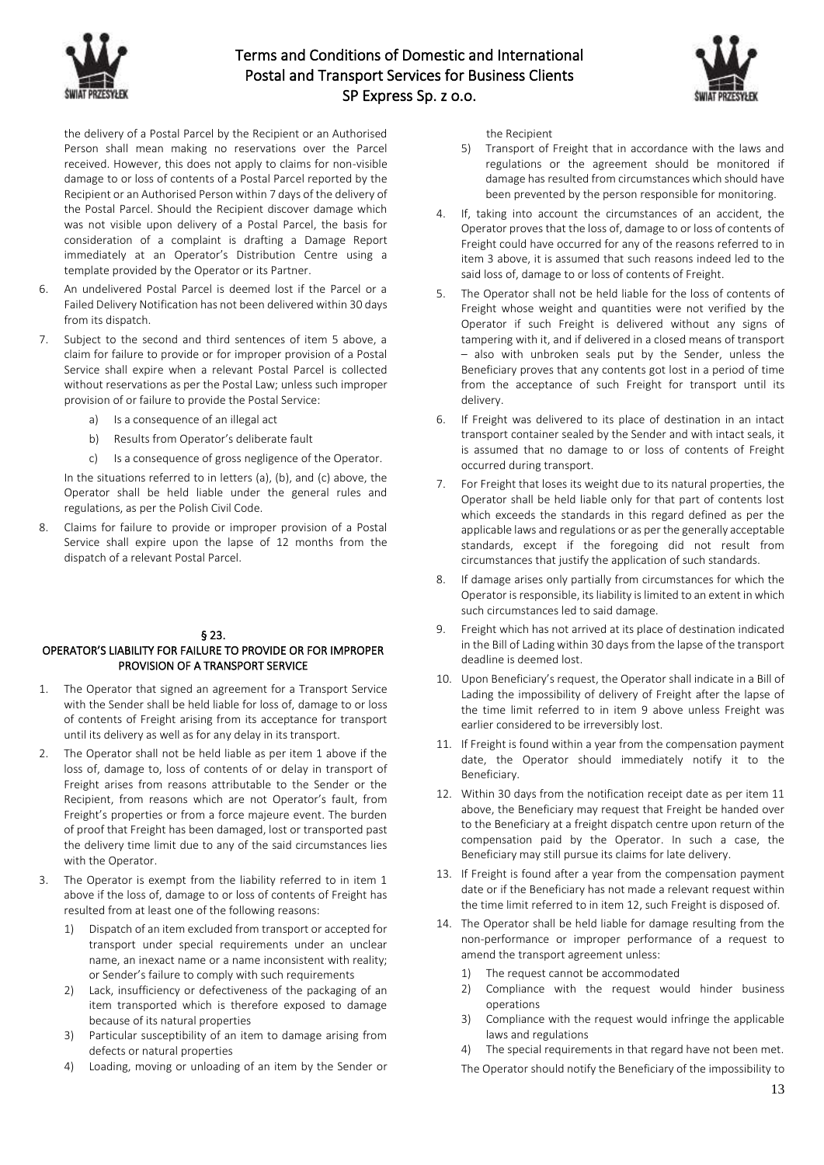



the delivery of a Postal Parcel by the Recipient or an Authorised Person shall mean making no reservations over the Parcel received. However, this does not apply to claims for non-visible damage to or loss of contents of a Postal Parcel reported by the Recipient or an Authorised Person within 7 days of the delivery of the Postal Parcel. Should the Recipient discover damage which was not visible upon delivery of a Postal Parcel, the basis for consideration of a complaint is drafting a Damage Report immediately at an Operator's Distribution Centre using a template provided by the Operator or its Partner.

- 6. An undelivered Postal Parcel is deemed lost if the Parcel or a Failed Delivery Notification has not been delivered within 30 days from its dispatch.
- 7. Subject to the second and third sentences of item 5 above, a claim for failure to provide or for improper provision of a Postal Service shall expire when a relevant Postal Parcel is collected without reservations as per the Postal Law; unless such improper provision of or failure to provide the Postal Service:
	- a) Is a consequence of an illegal act
	- b) Results from Operator's deliberate fault
	- c) Is a consequence of gross negligence of the Operator.

In the situations referred to in letters (a), (b), and (c) above, the Operator shall be held liable under the general rules and regulations, as per the Polish Civil Code.

8. Claims for failure to provide or improper provision of a Postal Service shall expire upon the lapse of 12 months from the dispatch of a relevant Postal Parcel.

# § 23.

### OPERATOR'S LIABILITY FOR FAILURE TO PROVIDE OR FOR IMPROPER PROVISION OF A TRANSPORT SERVICE

- 1. The Operator that signed an agreement for a Transport Service with the Sender shall be held liable for loss of, damage to or loss of contents of Freight arising from its acceptance for transport until its delivery as well as for any delay in its transport.
- 2. The Operator shall not be held liable as per item 1 above if the loss of, damage to, loss of contents of or delay in transport of Freight arises from reasons attributable to the Sender or the Recipient, from reasons which are not Operator's fault, from Freight's properties or from a force majeure event. The burden of proof that Freight has been damaged, lost or transported past the delivery time limit due to any of the said circumstances lies with the Operator.
- 3. The Operator is exempt from the liability referred to in item 1 above if the loss of, damage to or loss of contents of Freight has resulted from at least one of the following reasons:
	- 1) Dispatch of an item excluded from transport or accepted for transport under special requirements under an unclear name, an inexact name or a name inconsistent with reality; or Sender's failure to comply with such requirements
	- 2) Lack, insufficiency or defectiveness of the packaging of an item transported which is therefore exposed to damage because of its natural properties
	- 3) Particular susceptibility of an item to damage arising from defects or natural properties
	- 4) Loading, moving or unloading of an item by the Sender or

the Recipient

- 5) Transport of Freight that in accordance with the laws and regulations or the agreement should be monitored if damage has resulted from circumstances which should have been prevented by the person responsible for monitoring.
- 4. If, taking into account the circumstances of an accident, the Operator proves that the loss of, damage to or loss of contents of Freight could have occurred for any of the reasons referred to in item 3 above, it is assumed that such reasons indeed led to the said loss of, damage to or loss of contents of Freight.
- 5. The Operator shall not be held liable for the loss of contents of Freight whose weight and quantities were not verified by the Operator if such Freight is delivered without any signs of tampering with it, and if delivered in a closed means of transport – also with unbroken seals put by the Sender, unless the Beneficiary proves that any contents got lost in a period of time from the acceptance of such Freight for transport until its delivery.
- 6. If Freight was delivered to its place of destination in an intact transport container sealed by the Sender and with intact seals, it is assumed that no damage to or loss of contents of Freight occurred during transport.
- 7. For Freight that loses its weight due to its natural properties, the Operator shall be held liable only for that part of contents lost which exceeds the standards in this regard defined as per the applicable laws and regulations or as per the generally acceptable standards, except if the foregoing did not result from circumstances that justify the application of such standards.
- 8. If damage arises only partially from circumstances for which the Operator is responsible, its liability is limited to an extent in which such circumstances led to said damage.
- 9. Freight which has not arrived at its place of destination indicated in the Bill of Lading within 30 days from the lapse of the transport deadline is deemed lost.
- 10. Upon Beneficiary's request, the Operator shall indicate in a Bill of Lading the impossibility of delivery of Freight after the lapse of the time limit referred to in item 9 above unless Freight was earlier considered to be irreversibly lost.
- 11. If Freight is found within a year from the compensation payment date, the Operator should immediately notify it to the Beneficiary.
- 12. Within 30 days from the notification receipt date as per item 11 above, the Beneficiary may request that Freight be handed over to the Beneficiary at a freight dispatch centre upon return of the compensation paid by the Operator. In such a case, the Beneficiary may still pursue its claims for late delivery.
- 13. If Freight is found after a year from the compensation payment date or if the Beneficiary has not made a relevant request within the time limit referred to in item 12, such Freight is disposed of.
- 14. The Operator shall be held liable for damage resulting from the non-performance or improper performance of a request to amend the transport agreement unless:
	- 1) The request cannot be accommodated
	- 2) Compliance with the request would hinder business operations
	- 3) Compliance with the request would infringe the applicable laws and regulations
	- 4) The special requirements in that regard have not been met.
	- The Operator should notify the Beneficiary of the impossibility to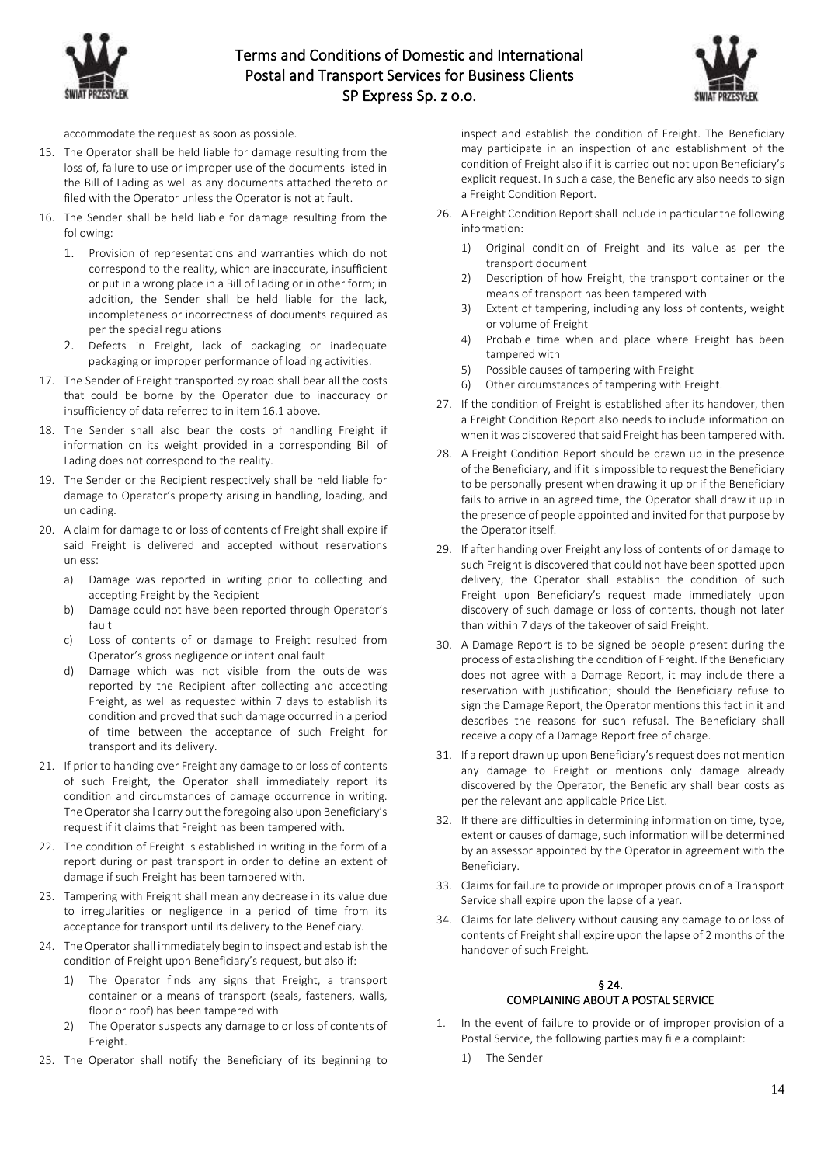



accommodate the request as soon as possible.

- 15. The Operator shall be held liable for damage resulting from the loss of, failure to use or improper use of the documents listed in the Bill of Lading as well as any documents attached thereto or filed with the Operator unless the Operator is not at fault.
- 16. The Sender shall be held liable for damage resulting from the following:
	- 1. Provision of representations and warranties which do not correspond to the reality, which are inaccurate, insufficient or put in a wrong place in a Bill of Lading or in other form; in addition, the Sender shall be held liable for the lack, incompleteness or incorrectness of documents required as per the special regulations
	- 2. Defects in Freight, lack of packaging or inadequate packaging or improper performance of loading activities.
- 17. The Sender of Freight transported by road shall bear all the costs that could be borne by the Operator due to inaccuracy or insufficiency of data referred to in item 16.1 above.
- 18. The Sender shall also bear the costs of handling Freight if information on its weight provided in a corresponding Bill of Lading does not correspond to the reality.
- 19. The Sender or the Recipient respectively shall be held liable for damage to Operator's property arising in handling, loading, and unloading.
- 20. A claim for damage to or loss of contents of Freight shall expire if said Freight is delivered and accepted without reservations unless:
	- a) Damage was reported in writing prior to collecting and accepting Freight by the Recipient
	- b) Damage could not have been reported through Operator's fault
	- c) Loss of contents of or damage to Freight resulted from Operator's gross negligence or intentional fault
	- d) Damage which was not visible from the outside was reported by the Recipient after collecting and accepting Freight, as well as requested within 7 days to establish its condition and proved that such damage occurred in a period of time between the acceptance of such Freight for transport and its delivery.
- 21. If prior to handing over Freight any damage to or loss of contents of such Freight, the Operator shall immediately report its condition and circumstances of damage occurrence in writing. The Operator shall carry out the foregoing also upon Beneficiary's request if it claims that Freight has been tampered with.
- 22. The condition of Freight is established in writing in the form of a report during or past transport in order to define an extent of damage if such Freight has been tampered with.
- 23. Tampering with Freight shall mean any decrease in its value due to irregularities or negligence in a period of time from its acceptance for transport until its delivery to the Beneficiary.
- 24. The Operator shall immediately begin to inspect and establish the condition of Freight upon Beneficiary's request, but also if:
	- 1) The Operator finds any signs that Freight, a transport container or a means of transport (seals, fasteners, walls, floor or roof) has been tampered with
	- 2) The Operator suspects any damage to or loss of contents of Freight.
- 25. The Operator shall notify the Beneficiary of its beginning to

inspect and establish the condition of Freight. The Beneficiary may participate in an inspection of and establishment of the condition of Freight also if it is carried out not upon Beneficiary's explicit request. In such a case, the Beneficiary also needs to sign a Freight Condition Report.

- 26. A Freight Condition Report shall include in particular the following information:
	- 1) Original condition of Freight and its value as per the transport document
	- 2) Description of how Freight, the transport container or the means of transport has been tampered with
	- 3) Extent of tampering, including any loss of contents, weight or volume of Freight
	- 4) Probable time when and place where Freight has been tampered with
	- 5) Possible causes of tampering with Freight
	- 6) Other circumstances of tampering with Freight.
- 27. If the condition of Freight is established after its handover, then a Freight Condition Report also needs to include information on when it was discovered that said Freight has been tampered with.
- 28. A Freight Condition Report should be drawn up in the presence of the Beneficiary, and if it is impossible to request the Beneficiary to be personally present when drawing it up or if the Beneficiary fails to arrive in an agreed time, the Operator shall draw it up in the presence of people appointed and invited for that purpose by the Operator itself.
- 29. If after handing over Freight any loss of contents of or damage to such Freight is discovered that could not have been spotted upon delivery, the Operator shall establish the condition of such Freight upon Beneficiary's request made immediately upon discovery of such damage or loss of contents, though not later than within 7 days of the takeover of said Freight.
- 30. A Damage Report is to be signed be people present during the process of establishing the condition of Freight. If the Beneficiary does not agree with a Damage Report, it may include there a reservation with justification; should the Beneficiary refuse to sign the Damage Report, the Operator mentions this fact in it and describes the reasons for such refusal. The Beneficiary shall receive a copy of a Damage Report free of charge.
- 31. If a report drawn up upon Beneficiary's request does not mention any damage to Freight or mentions only damage already discovered by the Operator, the Beneficiary shall bear costs as per the relevant and applicable Price List.
- 32. If there are difficulties in determining information on time, type, extent or causes of damage, such information will be determined by an assessor appointed by the Operator in agreement with the Beneficiary.
- 33. Claims for failure to provide or improper provision of a Transport Service shall expire upon the lapse of a year.
- 34. Claims for late delivery without causing any damage to or loss of contents of Freight shall expire upon the lapse of 2 months of the handover of such Freight.

# § 24. COMPLAINING ABOUT A POSTAL SERVICE

- 1. In the event of failure to provide or of improper provision of a Postal Service, the following parties may file a complaint:
	- 1) The Sender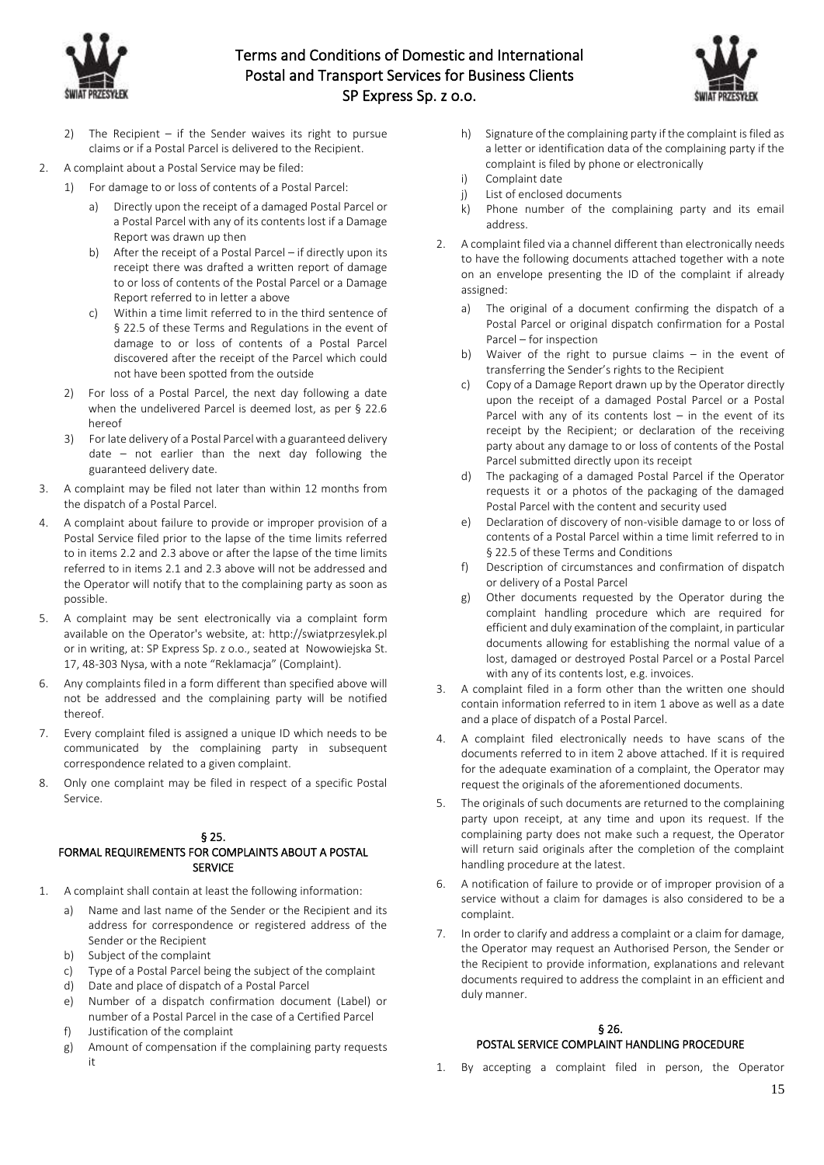



- 2) The Recipient if the Sender waives its right to pursue claims or if a Postal Parcel is delivered to the Recipient.
- 2. A complaint about a Postal Service may be filed:
	- 1) For damage to or loss of contents of a Postal Parcel:
		- Directly upon the receipt of a damaged Postal Parcel or a Postal Parcel with any of its contents lost if a Damage Report was drawn up then
		- b) After the receipt of a Postal Parcel if directly upon its receipt there was drafted a written report of damage to or loss of contents of the Postal Parcel or a Damage Report referred to in letter a above
		- c) Within a time limit referred to in the third sentence of § 22.5 of these Terms and Regulations in the event of damage to or loss of contents of a Postal Parcel discovered after the receipt of the Parcel which could not have been spotted from the outside
	- 2) For loss of a Postal Parcel, the next day following a date when the undelivered Parcel is deemed lost, as per § 22.6 hereof
	- 3) For late delivery of a Postal Parcel with a guaranteed delivery date – not earlier than the next day following the guaranteed delivery date.
- 3. A complaint may be filed not later than within 12 months from the dispatch of a Postal Parcel.
- 4. A complaint about failure to provide or improper provision of a Postal Service filed prior to the lapse of the time limits referred to in items 2.2 and 2.3 above or after the lapse of the time limits referred to in items 2.1 and 2.3 above will not be addressed and the Operator will notify that to the complaining party as soon as possible.
- 5. A complaint may be sent electronically via a complaint form available on the Operator's website, at: http://swiatprzesylek.pl or in writing, at: SP Express Sp. z o.o., seated at Nowowiejska St. 17, 48-303 Nysa, with a note "Reklamacja" (Complaint).
- 6. Any complaints filed in a form different than specified above will not be addressed and the complaining party will be notified thereof.
- 7. Every complaint filed is assigned a unique ID which needs to be communicated by the complaining party in subsequent correspondence related to a given complaint.
- 8. Only one complaint may be filed in respect of a specific Postal Service.

### § 25.

# FORMAL REQUIREMENTS FOR COMPLAINTS ABOUT A POSTAL SERVICE

- 1. A complaint shall contain at least the following information:
	- a) Name and last name of the Sender or the Recipient and its address for correspondence or registered address of the Sender or the Recipient
	- b) Subject of the complaint
	- c) Type of a Postal Parcel being the subject of the complaint
	- d) Date and place of dispatch of a Postal Parcel
	- e) Number of a dispatch confirmation document (Label) or number of a Postal Parcel in the case of a Certified Parcel
	- f) Justification of the complaint
	- g) Amount of compensation if the complaining party requests it
- h) Signature of the complaining party if the complaint is filed as a letter or identification data of the complaining party if the complaint is filed by phone or electronically
- i) Complaint date
- j) List of enclosed documents
- k) Phone number of the complaining party and its email address.
- 2. A complaint filed via a channel different than electronically needs to have the following documents attached together with a note on an envelope presenting the ID of the complaint if already assigned:
	- a) The original of a document confirming the dispatch of a Postal Parcel or original dispatch confirmation for a Postal Parcel – for inspection
	- b) Waiver of the right to pursue claims in the event of transferring the Sender's rights to the Recipient
	- c) Copy of a Damage Report drawn up by the Operator directly upon the receipt of a damaged Postal Parcel or a Postal Parcel with any of its contents  $lost - in$  the event of its receipt by the Recipient; or declaration of the receiving party about any damage to or loss of contents of the Postal Parcel submitted directly upon its receipt
	- d) The packaging of a damaged Postal Parcel if the Operator requests it or a photos of the packaging of the damaged Postal Parcel with the content and security used
	- e) Declaration of discovery of non-visible damage to or loss of contents of a Postal Parcel within a time limit referred to in § 22.5 of these Terms and Conditions
	- f) Description of circumstances and confirmation of dispatch or delivery of a Postal Parcel
	- g) Other documents requested by the Operator during the complaint handling procedure which are required for efficient and duly examination of the complaint, in particular documents allowing for establishing the normal value of a lost, damaged or destroyed Postal Parcel or a Postal Parcel with any of its contents lost, e.g. invoices.
- 3. A complaint filed in a form other than the written one should contain information referred to in item 1 above as well as a date and a place of dispatch of a Postal Parcel.
- 4. A complaint filed electronically needs to have scans of the documents referred to in item 2 above attached. If it is required for the adequate examination of a complaint, the Operator may request the originals of the aforementioned documents.
- 5. The originals of such documents are returned to the complaining party upon receipt, at any time and upon its request. If the complaining party does not make such a request, the Operator will return said originals after the completion of the complaint handling procedure at the latest.
- 6. A notification of failure to provide or of improper provision of a service without a claim for damages is also considered to be a complaint.
- 7. In order to clarify and address a complaint or a claim for damage, the Operator may request an Authorised Person, the Sender or the Recipient to provide information, explanations and relevant documents required to address the complaint in an efficient and duly manner.

# § 26. POSTAL SERVICE COMPLAINT HANDLING PROCEDURE

1. By accepting a complaint filed in person, the Operator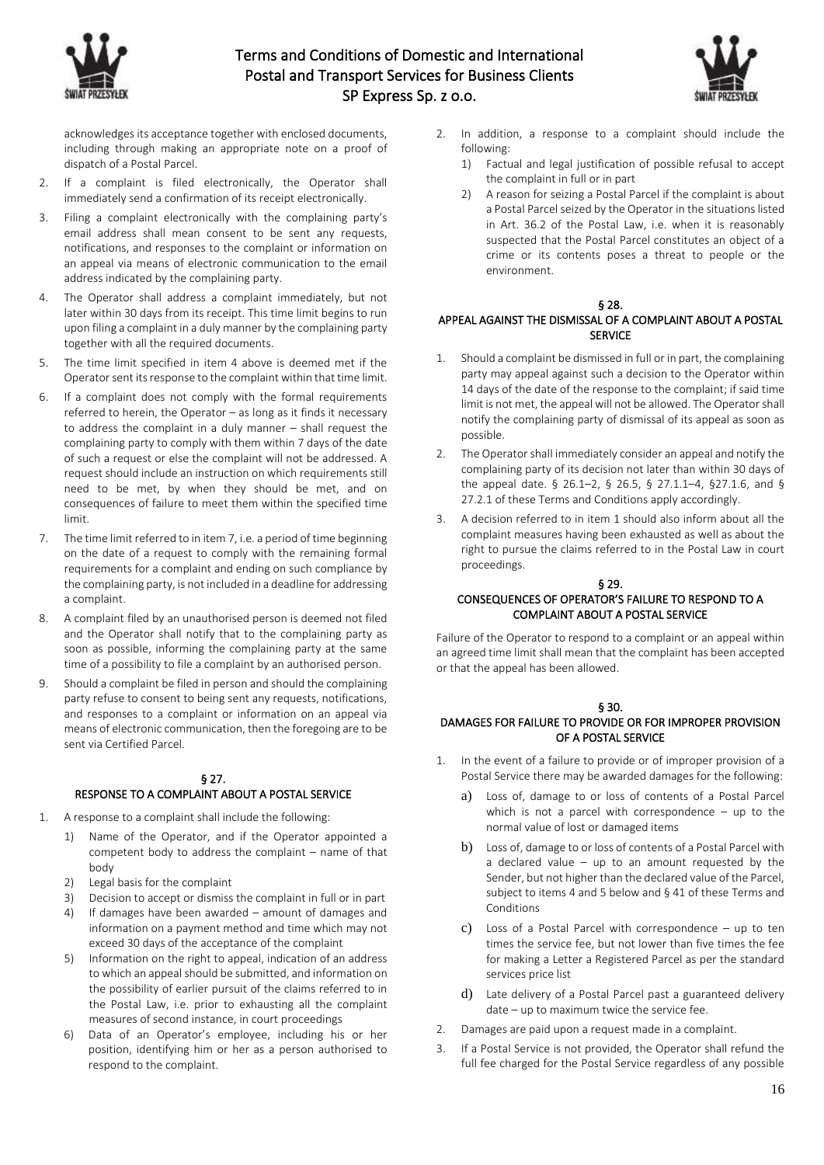



acknowledges its acceptance together with enclosed documents, including through making an appropriate note on a proof of dispatch of a Postal Parcel.

- 2. If a complaint is filed electronically, the Operator shall immediately send a confirmation of its receipt electronically.
- 3. Filing a complaint electronically with the complaining party's email address shall mean consent to be sent any requests, notifications, and responses to the complaint or information on an appeal via means of electronic communication to the email address indicated by the complaining party.
- 4. The Operator shall address a complaint immediately, but not later within 30 days from its receipt. This time limit begins to run upon filing a complaint in a duly manner by the complaining party together with all the required documents.
- 5. The time limit specified in item 4 above is deemed met if the Operator sent its response to the complaint within that time limit.
- 6. If a complaint does not comply with the formal requirements referred to herein, the Operator – as long as it finds it necessary to address the complaint in a duly manner – shall request the complaining party to comply with them within 7 days of the date of such a request or else the complaint will not be addressed. A request should include an instruction on which requirements still need to be met, by when they should be met, and on consequences of failure to meet them within the specified time limit.
- 7. The time limit referred to in item 7, i.e. a period of time beginning on the date of a request to comply with the remaining formal requirements for a complaint and ending on such compliance by the complaining party, is not included in a deadline for addressing a complaint.
- 8. A complaint filed by an unauthorised person is deemed not filed and the Operator shall notify that to the complaining party as soon as possible, informing the complaining party at the same time of a possibility to file a complaint by an authorised person.
- 9. Should a complaint be filed in person and should the complaining party refuse to consent to being sent any requests, notifications, and responses to a complaint or information on an appeal via means of electronic communication, then the foregoing are to be sent via Certified Parcel.

# § 27.

# RESPONSE TO A COMPLAINT ABOUT A POSTAL SERVICE

- 1. A response to a complaint shall include the following:
	- 1) Name of the Operator, and if the Operator appointed a competent body to address the complaint – name of that body
	- 2) Legal basis for the complaint
	- 3) Decision to accept or dismiss the complaint in full or in part
	- 4) If damages have been awarded amount of damages and information on a payment method and time which may not exceed 30 days of the acceptance of the complaint
	- 5) Information on the right to appeal, indication of an address to which an appeal should be submitted, and information on the possibility of earlier pursuit of the claims referred to in the Postal Law, i.e. prior to exhausting all the complaint measures of second instance, in court proceedings
	- 6) Data of an Operator's employee, including his or her position, identifying him or her as a person authorised to respond to the complaint.
- 2. In addition, a response to a complaint should include the following:
	- 1) Factual and legal justification of possible refusal to accept the complaint in full or in part
	- 2) A reason for seizing a Postal Parcel if the complaint is about a Postal Parcel seized by the Operator in the situations listed in Art. 36.2 of the Postal Law, i.e. when it is reasonably suspected that the Postal Parcel constitutes an object of a crime or its contents poses a threat to people or the environment.

### § 28.

## APPEAL AGAINST THE DISMISSAL OF A COMPLAINT ABOUT A POSTAL **SERVICE**

- 1. Should a complaint be dismissed in full or in part, the complaining party may appeal against such a decision to the Operator within 14 days of the date of the response to the complaint; if said time limit is not met, the appeal will not be allowed. The Operator shall notify the complaining party of dismissal of its appeal as soon as possible.
- 2. The Operator shall immediately consider an appeal and notify the complaining party of its decision not later than within 30 days of the appeal date. § 26.1–2, § 26.5, § 27.1.1–4, §27.1.6, and § 27.2.1 of these Terms and Conditions apply accordingly.
- 3. A decision referred to in item 1 should also inform about all the complaint measures having been exhausted as well as about the right to pursue the claims referred to in the Postal Law in court proceedings.

### § 29. CONSEQUENCES OF OPERATOR'S FAILURE TO RESPOND TO A COMPLAINT ABOUT A POSTAL SERVICE

Failure of the Operator to respond to a complaint or an appeal within an agreed time limit shall mean that the complaint has been accepted or that the appeal has been allowed.

# § 30.

### DAMAGES FOR FAILURE TO PROVIDE OR FOR IMPROPER PROVISION OF A POSTAL SERVICE

- 1. In the event of a failure to provide or of improper provision of a Postal Service there may be awarded damages for the following:
	- a) Loss of, damage to or loss of contents of a Postal Parcel which is not a parcel with correspondence – up to the normal value of lost or damaged items
	- b) Loss of, damage to or loss of contents of a Postal Parcel with a declared value  $-$  up to an amount requested by the Sender, but not higher than the declared value of the Parcel, subject to items 4 and 5 below and § 41 of these Terms and Conditions
	- c) Loss of a Postal Parcel with correspondence up to ten times the service fee, but not lower than five times the fee for making a Letter a Registered Parcel as per the standard services price list
	- d) Late delivery of a Postal Parcel past a guaranteed delivery date – up to maximum twice the service fee.
- 2. Damages are paid upon a request made in a complaint.
- 3. If a Postal Service is not provided, the Operator shall refund the full fee charged for the Postal Service regardless of any possible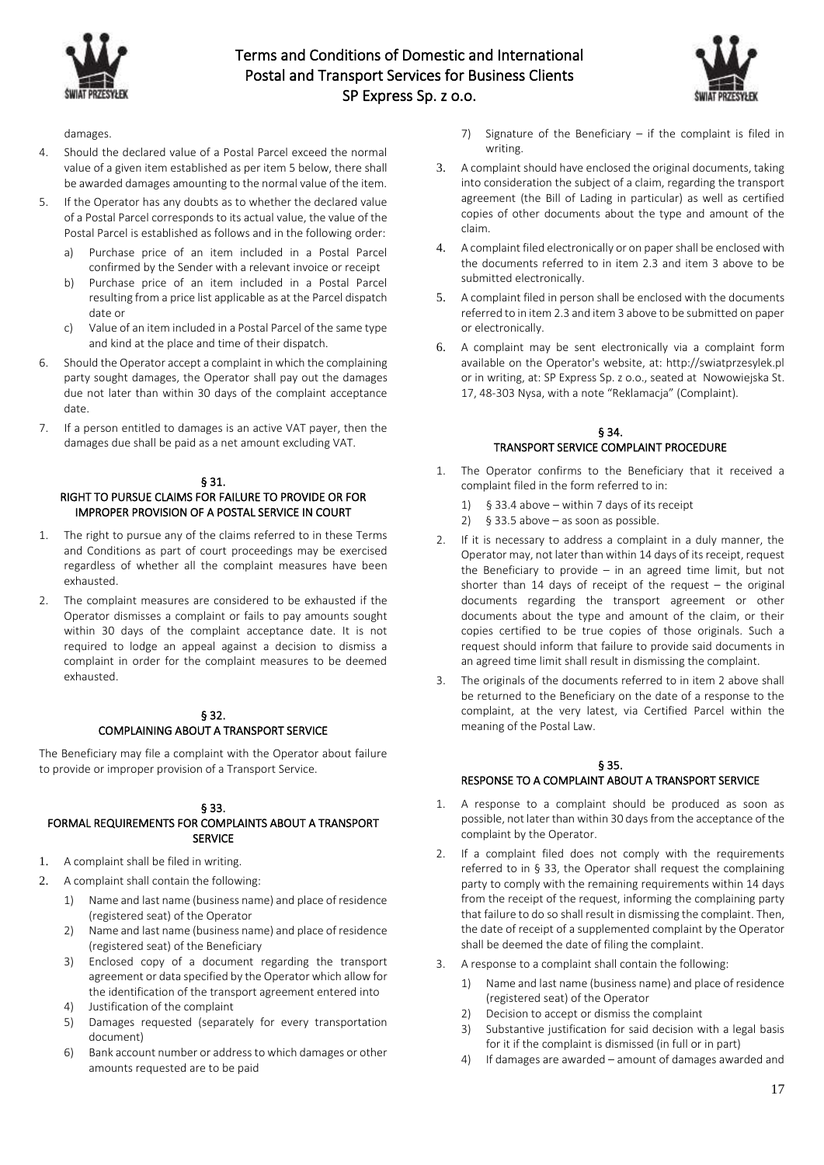



damages.

- 4. Should the declared value of a Postal Parcel exceed the normal value of a given item established as per item 5 below, there shall be awarded damages amounting to the normal value of the item.
- 5. If the Operator has any doubts as to whether the declared value of a Postal Parcel corresponds to its actual value, the value of the Postal Parcel is established as follows and in the following order:
	- a) Purchase price of an item included in a Postal Parcel confirmed by the Sender with a relevant invoice or receipt
	- b) Purchase price of an item included in a Postal Parcel resulting from a price list applicable as at the Parcel dispatch date or
	- c) Value of an item included in a Postal Parcel of the same type and kind at the place and time of their dispatch.
- 6. Should the Operator accept a complaint in which the complaining party sought damages, the Operator shall pay out the damages due not later than within 30 days of the complaint acceptance date.
- 7. If a person entitled to damages is an active VAT payer, then the damages due shall be paid as a net amount excluding VAT.

### § 31.

## RIGHT TO PURSUE CLAIMS FOR FAILURE TO PROVIDE OR FOR IMPROPER PROVISION OF A POSTAL SERVICE IN COURT

- 1. The right to pursue any of the claims referred to in these Terms and Conditions as part of court proceedings may be exercised regardless of whether all the complaint measures have been exhausted.
- 2. The complaint measures are considered to be exhausted if the Operator dismisses a complaint or fails to pay amounts sought within 30 days of the complaint acceptance date. It is not required to lodge an appeal against a decision to dismiss a complaint in order for the complaint measures to be deemed exhausted.

### § 32. COMPLAINING ABOUT A TRANSPORT SERVICE

The Beneficiary may file a complaint with the Operator about failure to provide or improper provision of a Transport Service.

### § 33.

### FORMAL REQUIREMENTS FOR COMPLAINTS ABOUT A TRANSPORT SERVICE

- 1. A complaint shall be filed in writing.
- 2. A complaint shall contain the following:
	- 1) Name and last name (business name) and place of residence (registered seat) of the Operator
	- 2) Name and last name (business name) and place of residence (registered seat) of the Beneficiary
	- 3) Enclosed copy of a document regarding the transport agreement or data specified by the Operator which allow for the identification of the transport agreement entered into
	- 4) Justification of the complaint
	- 5) Damages requested (separately for every transportation document)
	- 6) Bank account number or address to which damages or other amounts requested are to be paid
- 7) Signature of the Beneficiary if the complaint is filed in writing.
- 3. A complaint should have enclosed the original documents, taking into consideration the subject of a claim, regarding the transport agreement (the Bill of Lading in particular) as well as certified copies of other documents about the type and amount of the claim.
- 4. A complaint filed electronically or on paper shall be enclosed with the documents referred to in item 2.3 and item 3 above to be submitted electronically.
- 5. A complaint filed in person shall be enclosed with the documents referred to in item 2.3 and item 3 above to be submitted on paper or electronically.
- 6. A complaint may be sent electronically via a complaint form available on the Operator's website, at: http://swiatprzesylek.pl or in writing, at: SP Express Sp. z o.o., seated at Nowowiejska St. 17, 48-303 Nysa, with a note "Reklamacja" (Complaint).

## § 34. TRANSPORT SERVICE COMPLAINT PROCEDURE

- 1. The Operator confirms to the Beneficiary that it received a complaint filed in the form referred to in:
	- 1) § 33.4 above within 7 days of its receipt
	- 2) § 33.5 above as soon as possible.
- 2. If it is necessary to address a complaint in a duly manner, the Operator may, not later than within 14 days of its receipt, request the Beneficiary to provide – in an agreed time limit, but not shorter than 14 days of receipt of the request  $-$  the original documents regarding the transport agreement or other documents about the type and amount of the claim, or their copies certified to be true copies of those originals. Such a request should inform that failure to provide said documents in an agreed time limit shall result in dismissing the complaint.
- 3. The originals of the documents referred to in item 2 above shall be returned to the Beneficiary on the date of a response to the complaint, at the very latest, via Certified Parcel within the meaning of the Postal Law.

# § 35. RESPONSE TO A COMPLAINT ABOUT A TRANSPORT SERVICE

- 1. A response to a complaint should be produced as soon as possible, not later than within 30 days from the acceptance of the complaint by the Operator.
- 2. If a complaint filed does not comply with the requirements referred to in § 33, the Operator shall request the complaining party to comply with the remaining requirements within 14 days from the receipt of the request, informing the complaining party that failure to do so shall result in dismissing the complaint. Then, the date of receipt of a supplemented complaint by the Operator shall be deemed the date of filing the complaint.
- 3. A response to a complaint shall contain the following:
	- 1) Name and last name (business name) and place of residence (registered seat) of the Operator
	- 2) Decision to accept or dismiss the complaint
	- 3) Substantive justification for said decision with a legal basis for it if the complaint is dismissed (in full or in part)
	- 4) If damages are awarded amount of damages awarded and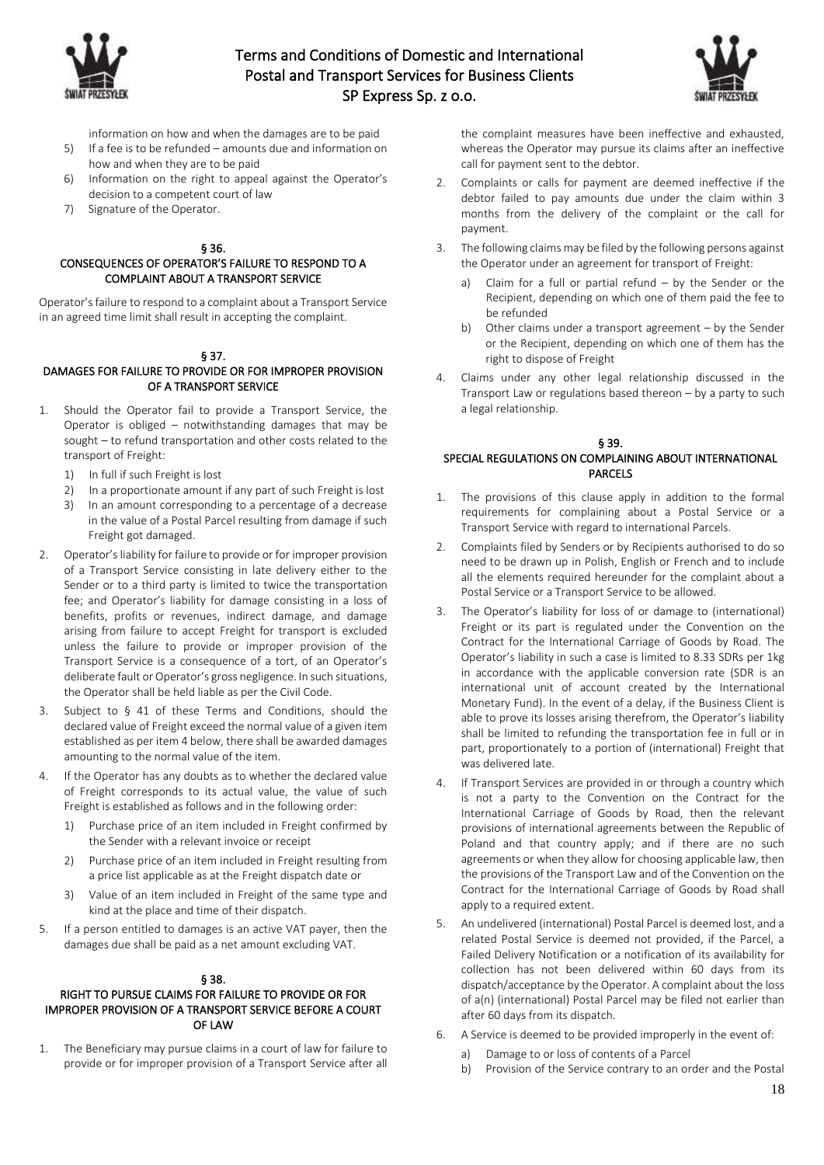



- information on how and when the damages are to be paid
- 5) If a fee is to be refunded amounts due and information on how and when they are to be paid
- 6) Information on the right to appeal against the Operator's decision to a competent court of law
- 7) Signature of the Operator.

### § 36.

## CONSEQUENCES OF OPERATOR'S FAILURE TO RESPOND TO A COMPLAINT ABOUT A TRANSPORT SERVICE

Operator's failure to respond to a complaint about a Transport Service in an agreed time limit shall result in accepting the complaint.

### § 37.

### DAMAGES FOR FAILURE TO PROVIDE OR FOR IMPROPER PROVISION OF A TRANSPORT SERVICE

- 1. Should the Operator fail to provide a Transport Service, the Operator is obliged – notwithstanding damages that may be sought – to refund transportation and other costs related to the transport of Freight:
	- 1) In full if such Freight is lost<br>2) In a proportionate amount
	- In a proportionate amount if any part of such Freight is lost
	- 3) In an amount corresponding to a percentage of a decrease in the value of a Postal Parcel resulting from damage if such Freight got damaged.
- 2. Operator's liability for failure to provide or for improper provision of a Transport Service consisting in late delivery either to the Sender or to a third party is limited to twice the transportation fee; and Operator's liability for damage consisting in a loss of benefits, profits or revenues, indirect damage, and damage arising from failure to accept Freight for transport is excluded unless the failure to provide or improper provision of the Transport Service is a consequence of a tort, of an Operator's deliberate fault or Operator's gross negligence. In such situations, the Operator shall be held liable as per the Civil Code.
- 3. Subject to § 41 of these Terms and Conditions, should the declared value of Freight exceed the normal value of a given item established as per item 4 below, there shall be awarded damages amounting to the normal value of the item.
- 4. If the Operator has any doubts as to whether the declared value of Freight corresponds to its actual value, the value of such Freight is established as follows and in the following order:
	- 1) Purchase price of an item included in Freight confirmed by the Sender with a relevant invoice or receipt
	- 2) Purchase price of an item included in Freight resulting from a price list applicable as at the Freight dispatch date or
	- 3) Value of an item included in Freight of the same type and kind at the place and time of their dispatch.
- 5. If a person entitled to damages is an active VAT payer, then the damages due shall be paid as a net amount excluding VAT.

### § 38.

## RIGHT TO PURSUE CLAIMS FOR FAILURE TO PROVIDE OR FOR IMPROPER PROVISION OF A TRANSPORT SERVICE BEFORE A COURT OF LAW

1. The Beneficiary may pursue claims in a court of law for failure to provide or for improper provision of a Transport Service after all the complaint measures have been ineffective and exhausted, whereas the Operator may pursue its claims after an ineffective call for payment sent to the debtor.

- 2. Complaints or calls for payment are deemed ineffective if the debtor failed to pay amounts due under the claim within 3 months from the delivery of the complaint or the call for payment.
- 3. The following claims may be filed by the following persons against the Operator under an agreement for transport of Freight:
	- a) Claim for a full or partial refund by the Sender or the Recipient, depending on which one of them paid the fee to be refunded
	- b) Other claims under a transport agreement by the Sender or the Recipient, depending on which one of them has the right to dispose of Freight
- 4. Claims under any other legal relationship discussed in the Transport Law or regulations based thereon – by a party to such a legal relationship.

### § 39. SPECIAL REGULATIONS ON COMPLAINING ABOUT INTERNATIONAL PARCELS

- 1. The provisions of this clause apply in addition to the formal requirements for complaining about a Postal Service or a Transport Service with regard to international Parcels.
- 2. Complaints filed by Senders or by Recipients authorised to do so need to be drawn up in Polish, English or French and to include all the elements required hereunder for the complaint about a Postal Service or a Transport Service to be allowed.
- 3. The Operator's liability for loss of or damage to (international) Freight or its part is regulated under the Convention on the Contract for the International Carriage of Goods by Road. The Operator's liability in such a case is limited to 8.33 SDRs per 1kg in accordance with the applicable conversion rate (SDR is an international unit of account created by the International Monetary Fund). In the event of a delay, if the Business Client is able to prove its losses arising therefrom, the Operator's liability shall be limited to refunding the transportation fee in full or in part, proportionately to a portion of (international) Freight that was delivered late.
- 4. If Transport Services are provided in or through a country which is not a party to the Convention on the Contract for the International Carriage of Goods by Road, then the relevant provisions of international agreements between the Republic of Poland and that country apply; and if there are no such agreements or when they allow for choosing applicable law, then the provisions of the Transport Law and of the Convention on the Contract for the International Carriage of Goods by Road shall apply to a required extent.
- 5. An undelivered (international) Postal Parcel is deemed lost, and a related Postal Service is deemed not provided, if the Parcel, a Failed Delivery Notification or a notification of its availability for collection has not been delivered within 60 days from its dispatch/acceptance by the Operator. A complaint about the loss of a(n) (international) Postal Parcel may be filed not earlier than after 60 days from its dispatch.
- 6. A Service is deemed to be provided improperly in the event of:
	- a) Damage to or loss of contents of a Parcel
	- b) Provision of the Service contrary to an order and the Postal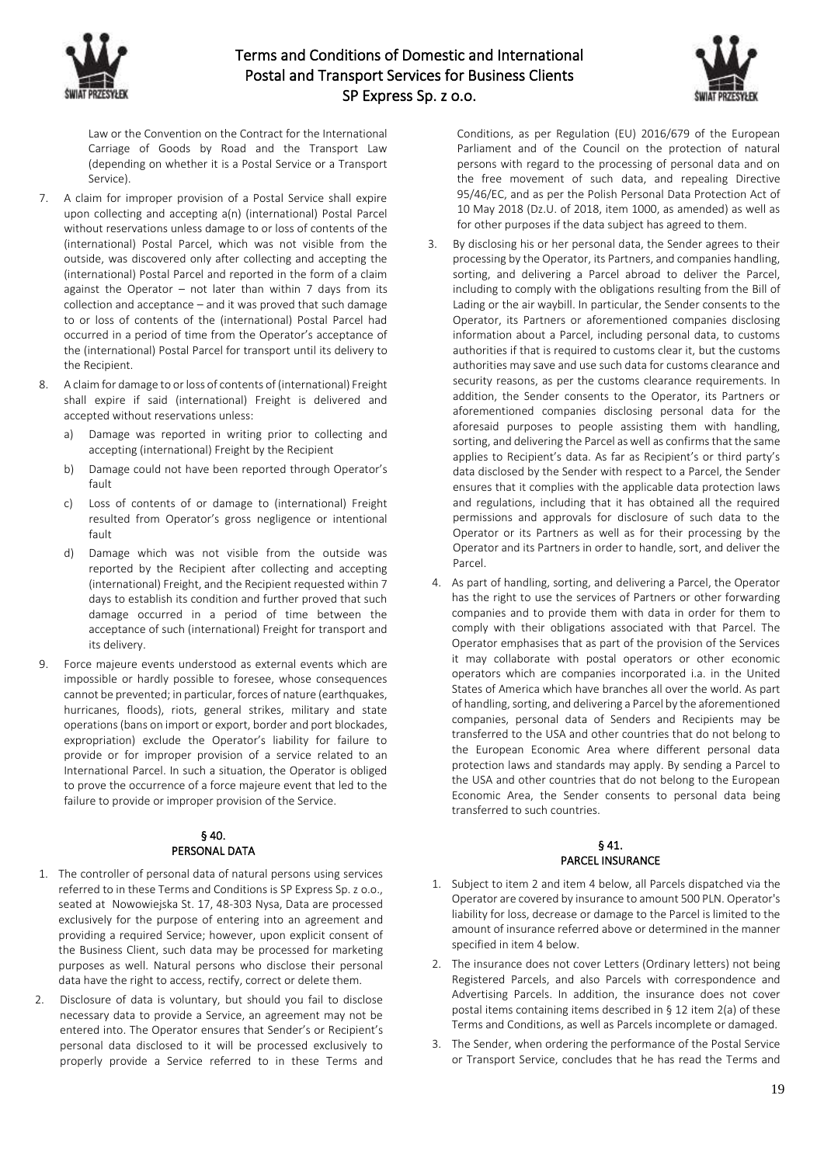



Law or the Convention on the Contract for the International Carriage of Goods by Road and the Transport Law (depending on whether it is a Postal Service or a Transport Service).

- 7. A claim for improper provision of a Postal Service shall expire upon collecting and accepting a(n) (international) Postal Parcel without reservations unless damage to or loss of contents of the (international) Postal Parcel, which was not visible from the outside, was discovered only after collecting and accepting the (international) Postal Parcel and reported in the form of a claim against the Operator – not later than within 7 days from its collection and acceptance – and it was proved that such damage to or loss of contents of the (international) Postal Parcel had occurred in a period of time from the Operator's acceptance of the (international) Postal Parcel for transport until its delivery to the Recipient.
- 8. A claim for damage to or loss of contents of (international) Freight shall expire if said (international) Freight is delivered and accepted without reservations unless:
	- a) Damage was reported in writing prior to collecting and accepting (international) Freight by the Recipient
	- b) Damage could not have been reported through Operator's fault
	- c) Loss of contents of or damage to (international) Freight resulted from Operator's gross negligence or intentional fault
	- d) Damage which was not visible from the outside was reported by the Recipient after collecting and accepting (international) Freight, and the Recipient requested within 7 days to establish its condition and further proved that such damage occurred in a period of time between the acceptance of such (international) Freight for transport and its delivery.
- 9. Force majeure events understood as external events which are impossible or hardly possible to foresee, whose consequences cannot be prevented; in particular, forces of nature (earthquakes, hurricanes, floods), riots, general strikes, military and state operations (bans on import or export, border and port blockades, expropriation) exclude the Operator's liability for failure to provide or for improper provision of a service related to an International Parcel. In such a situation, the Operator is obliged to prove the occurrence of a force majeure event that led to the failure to provide or improper provision of the Service.

## § 40. PERSONAL DATA

- 1. The controller of personal data of natural persons using services referred to in these Terms and Conditions is SP Express Sp. z o.o., seated at Nowowiejska St. 17, 48-303 Nysa, Data are processed exclusively for the purpose of entering into an agreement and providing a required Service; however, upon explicit consent of the Business Client, such data may be processed for marketing purposes as well. Natural persons who disclose their personal data have the right to access, rectify, correct or delete them.
- 2. Disclosure of data is voluntary, but should you fail to disclose necessary data to provide a Service, an agreement may not be entered into. The Operator ensures that Sender's or Recipient's personal data disclosed to it will be processed exclusively to properly provide a Service referred to in these Terms and

Conditions, as per Regulation (EU) 2016/679 of the European Parliament and of the Council on the protection of natural persons with regard to the processing of personal data and on the free movement of such data, and repealing Directive 95/46/EC, and as per the Polish Personal Data Protection Act of 10 May 2018 (Dz.U. of 2018, item 1000, as amended) as well as for other purposes if the data subject has agreed to them.

- 3. By disclosing his or her personal data, the Sender agrees to their processing by the Operator, its Partners, and companies handling, sorting, and delivering a Parcel abroad to deliver the Parcel, including to comply with the obligations resulting from the Bill of Lading or the air waybill. In particular, the Sender consents to the Operator, its Partners or aforementioned companies disclosing information about a Parcel, including personal data, to customs authorities if that is required to customs clear it, but the customs authorities may save and use such data for customs clearance and security reasons, as per the customs clearance requirements. In addition, the Sender consents to the Operator, its Partners or aforementioned companies disclosing personal data for the aforesaid purposes to people assisting them with handling, sorting, and delivering the Parcel as well as confirms that the same applies to Recipient's data. As far as Recipient's or third party's data disclosed by the Sender with respect to a Parcel, the Sender ensures that it complies with the applicable data protection laws and regulations, including that it has obtained all the required permissions and approvals for disclosure of such data to the Operator or its Partners as well as for their processing by the Operator and its Partners in order to handle, sort, and deliver the Parcel.
- 4. As part of handling, sorting, and delivering a Parcel, the Operator has the right to use the services of Partners or other forwarding companies and to provide them with data in order for them to comply with their obligations associated with that Parcel. The Operator emphasises that as part of the provision of the Services it may collaborate with postal operators or other economic operators which are companies incorporated i.a. in the United States of America which have branches all over the world. As part of handling, sorting, and delivering a Parcel by the aforementioned companies, personal data of Senders and Recipients may be transferred to the USA and other countries that do not belong to the European Economic Area where different personal data protection laws and standards may apply. By sending a Parcel to the USA and other countries that do not belong to the European Economic Area, the Sender consents to personal data being transferred to such countries.

## § 41. PARCEL INSURANCE

- 1. Subject to item 2 and item 4 below, all Parcels dispatched via the Operator are covered by insurance to amount 500 PLN. Operator's liability for loss, decrease or damage to the Parcel is limited to the amount of insurance referred above or determined in the manner specified in item 4 below.
- 2. The insurance does not cover Letters (Ordinary letters) not being Registered Parcels, and also Parcels with correspondence and Advertising Parcels. In addition, the insurance does not cover postal items containing items described in § 12 item 2(a) of these Terms and Conditions, as well as Parcels incomplete or damaged.
- 3. The Sender, when ordering the performance of the Postal Service or Transport Service, concludes that he has read the Terms and